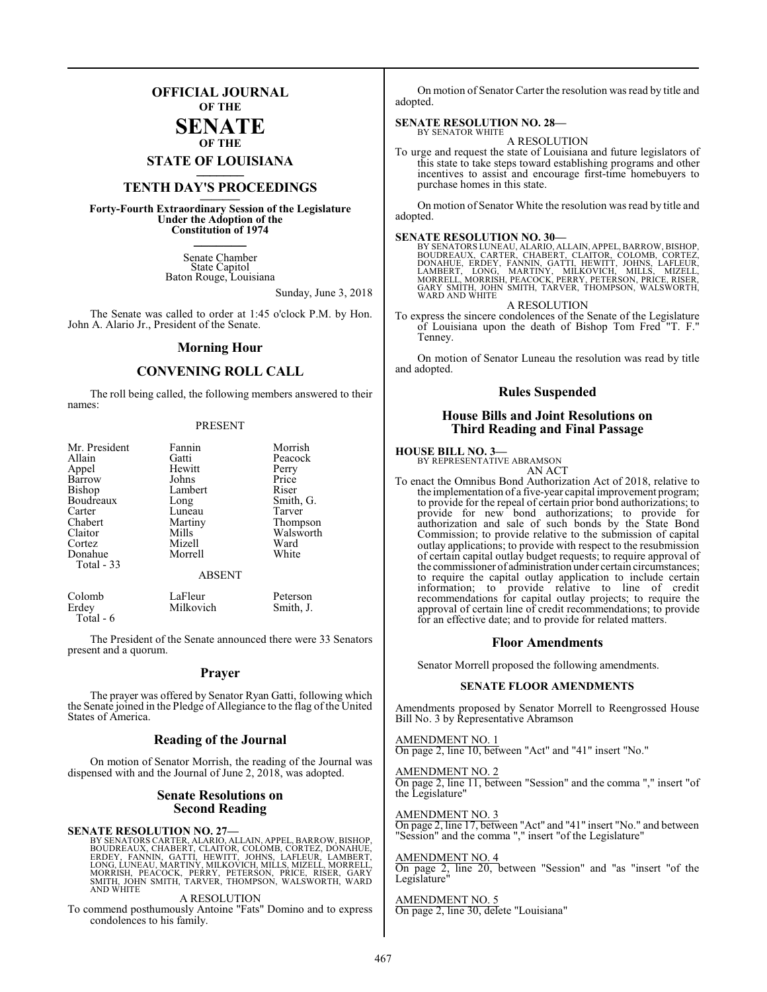### **OFFICIAL JOURNAL OF THE**

#### **SENATE OF THE**

**STATE OF LOUISIANA \_\_\_\_\_\_\_**

## **TENTH DAY'S PROCEEDINGS \_\_\_\_\_\_\_**

**Forty-Fourth Extraordinary Session of the Legislature Under the Adoption of the Constitution of 1974 \_\_\_\_\_\_\_**

> Senate Chamber State Capitol Baton Rouge, Louisiana

> > Sunday, June 3, 2018

The Senate was called to order at 1:45 o'clock P.M. by Hon. John A. Alario Jr., President of the Senate.

#### **Morning Hour**

#### **CONVENING ROLL CALL**

The roll being called, the following members answered to their names:

#### PRESENT

| Mr. President<br>Allain<br>Appel<br>Barrow<br><b>Bishop</b><br>Boudreaux<br>Carter<br>Chabert<br>Claitor<br>Cortez<br>Donahue<br>Total - 33 | Fannin<br>Gatti<br>Hewitt<br>Johns<br>Lambert<br>Long<br>Luneau<br>Martiny<br>Mills<br>Mizell<br>Morrell | Morrish<br>Peacock<br>Perry<br>Price<br>Riser<br>Smith, G.<br>Tarver<br>Thompson<br>Walsworth<br>Ward<br>White |
|---------------------------------------------------------------------------------------------------------------------------------------------|----------------------------------------------------------------------------------------------------------|----------------------------------------------------------------------------------------------------------------|
|                                                                                                                                             | <b>ABSENT</b>                                                                                            |                                                                                                                |

| Colomb    | LaFleur   | Peterson  |
|-----------|-----------|-----------|
| Erdey     | Milkovich | Smith, J. |
| Total - 6 |           |           |

The President of the Senate announced there were 33 Senators present and a quorum.

#### **Prayer**

The prayer was offered by Senator Ryan Gatti, following which the Senate joined in the Pledge of Allegiance to the flag of the United States of America.

#### **Reading of the Journal**

On motion of Senator Morrish, the reading of the Journal was dispensed with and the Journal of June 2, 2018, was adopted.

#### **Senate Resolutions on Second Reading**

SENATE RESOLUTION NO. 27—<br>BY SENATORS CARTER, ALARIO, ALLAIN, APPEL, BARROW, BISHOP, BOUDREAUX, CHABERT, CLAITOR, COLOMB, CORTEZ, DONAHUE,<br>ERDEY, FANNIN, GATTI, HEWITT, JOHNS, LAFLEUR, LAMBERT,<br>LONG, LUNEAU, MARTINY, MILKO AND WHITE

A RESOLUTION

To commend posthumously Antoine "Fats" Domino and to express condolences to his family.

On motion of Senator Carter the resolution was read by title and adopted.

#### **SENATE RESOLUTION NO. 28—** BY SENATOR WHITE

A RESOLUTION

To urge and request the state of Louisiana and future legislators of this state to take steps toward establishing programs and other incentives to assist and encourage first-time homebuyers to purchase homes in this state.

On motion of Senator White the resolution was read by title and adopted.

#### **SENATE RESOLUTION NO. 30—**

BY SENATORS LUNEAU, ALARIO, ALLAIN, APPEL, BARROW, BISHOP,<br>BOUDREAUX, CARTER, CHABERT, CLAITOR, COLOMB, CORTEZ,<br>DONAHUE, ERDEY, FANNIN, GATTI, HEWITT, JOHNS, LAFLEUR,<br>LAMBERT, LONG, MARTINY, MILKOVICH, MILLS, MIZELL,<br>MORRE WARD AND WHITE

A RESOLUTION

To express the sincere condolences of the Senate of the Legislature of Louisiana upon the death of Bishop Tom Fred "T. F." Tenney.

On motion of Senator Luneau the resolution was read by title and adopted.

#### **Rules Suspended**

#### **House Bills and Joint Resolutions on Third Reading and Final Passage**

#### **HOUSE BILL NO. 3—**

BY REPRESENTATIVE ABRAMSON AN ACT

To enact the Omnibus Bond Authorization Act of 2018, relative to the implementation of a five-year capital improvement program; to provide for the repeal of certain prior bond authorizations; to provide for new bond authorizations; to provide for authorization and sale of such bonds by the State Bond Commission; to provide relative to the submission of capital outlay applications; to provide with respect to the resubmission of certain capital outlay budget requests; to require approval of the commissioner of administration under certain circumstances; to require the capital outlay application to include certain information; to provide relative to line of credit recommendations for capital outlay projects; to require the approval of certain line of credit recommendations; to provide for an effective date; and to provide for related matters.

#### **Floor Amendments**

Senator Morrell proposed the following amendments.

#### **SENATE FLOOR AMENDMENTS**

Amendments proposed by Senator Morrell to Reengrossed House Bill No. 3 by Representative Abramson

AMENDMENT NO. 1 On page 2, line 10, between "Act" and "41" insert "No."

### AMENDMENT NO. 2

On page 2, line 11, between "Session" and the comma "," insert "of the Legislature"

#### AMENDMENT NO. 3

On page 2, line 17, between "Act" and "41" insert "No." and between "Session" and the comma "," insert "of the Legislature"

#### AMENDMENT NO. 4

On page 2, line 20, between "Session" and "as "insert "of the Legislature"

#### AMENDMENT NO. 5

On page 2, line 30, delete "Louisiana"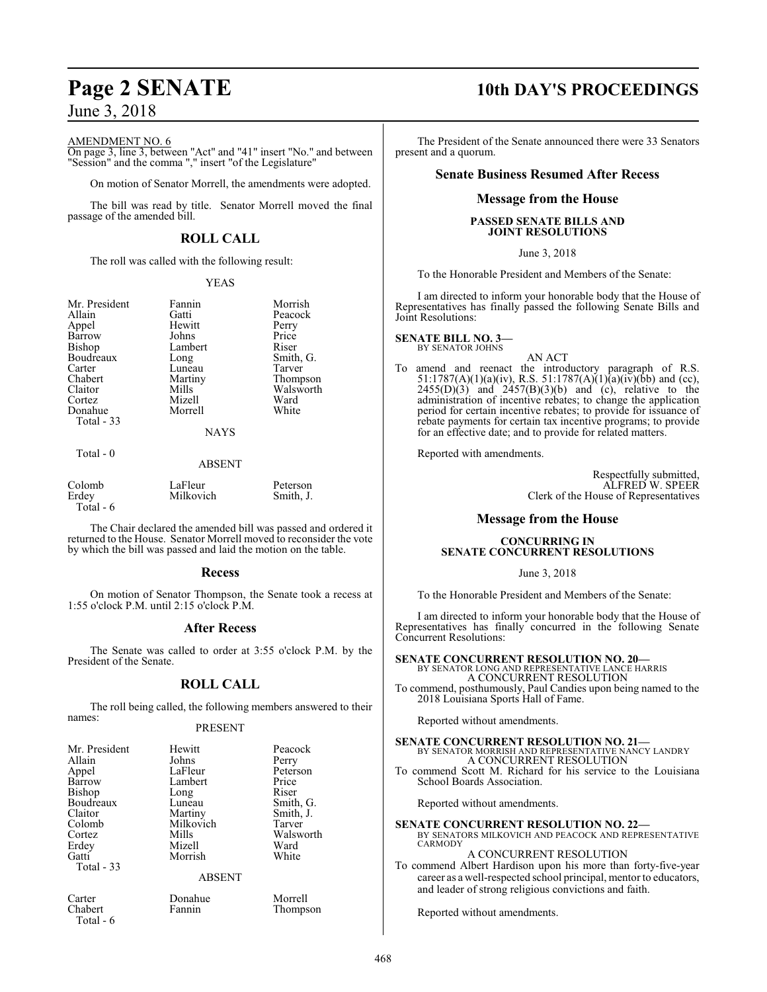#### AMENDMENT NO. 6

On page 3, line 3, between "Act" and "41" insert "No." and between "Session" and the comma "," insert "of the Legislature"

On motion of Senator Morrell, the amendments were adopted.

The bill was read by title. Senator Morrell moved the final passage of the amended bill.

#### **ROLL CALL**

The roll was called with the following result:

#### YEAS

| Mr. President | Fannin      | Morrish   |
|---------------|-------------|-----------|
| Allain        | Gatti       | Peacock   |
| Appel         | Hewitt      | Perry     |
| Barrow        | Johns       | Price     |
| Bishop        | Lambert     | Riser     |
| Boudreaux     | Long        | Smith, G. |
| Carter        | Luneau      | Tarver    |
| Chabert       | Martiny     | Thompson  |
| Claitor       | Mills       | Walsworth |
| Cortez        | Mizell      | Ward      |
| Donahue       | Morrell     | White     |
| Total - 33    |             |           |
|               | <b>NAYS</b> |           |

Total - 0

#### ABSENT

| Colomb     | LaFleur   | Peterson  |
|------------|-----------|-----------|
| Erdev      | Milkovich | Smith, J. |
| Total $-6$ |           |           |

The Chair declared the amended bill was passed and ordered it returned to the House. Senator Morrell moved to reconsider the vote by which the bill was passed and laid the motion on the table.

#### **Recess**

On motion of Senator Thompson, the Senate took a recess at 1:55 o'clock P.M. until 2:15 o'clock P.M.

#### **After Recess**

The Senate was called to order at 3:55 o'clock P.M. by the President of the Senate.

#### **ROLL CALL**

The roll being called, the following members answered to their names:

#### PRESENT

| Mr. President<br>Allain<br>Appel<br>Barrow<br>Bishop<br>Boudreaux<br>Claitor<br>Colomb<br>Cortez<br>Erdey<br>Gatti<br>Total $-33$ | Hewitt<br>Johns<br>LaFleur<br>Lambert<br>Long<br>Luneau<br>Martiny<br>Milkovich<br>Mills<br>Mizell<br>Morrish | Peacock<br>Perry<br>Peterson<br>Price<br>Riser<br>Smith, G.<br>Smith, J.<br>Tarver<br>Walsworth<br>Ward<br>White |
|-----------------------------------------------------------------------------------------------------------------------------------|---------------------------------------------------------------------------------------------------------------|------------------------------------------------------------------------------------------------------------------|
|                                                                                                                                   | <b>ABSENT</b>                                                                                                 |                                                                                                                  |
| Carter<br>Chabert                                                                                                                 | Donahue<br>Fannin                                                                                             | Morrell<br>Thompson                                                                                              |

## Total - 6

**Page 2 SENATE 10th DAY'S PROCEEDINGS**

The President of the Senate announced there were 33 Senators present and a quorum.

#### **Senate Business Resumed After Recess**

#### **Message from the House**

#### **PASSED SENATE BILLS AND JOINT RESOLUTIONS**

June 3, 2018

To the Honorable President and Members of the Senate:

I am directed to inform your honorable body that the House of Representatives has finally passed the following Senate Bills and Joint Resolutions:

#### **SENATE BILL NO. 3—** BY SENATOR JOHNS

- AN ACT
- To amend and reenact the introductory paragraph of R.S. 51:1787(A)(1)(a)(iv), R.S. 51:1787(A)(1)(a)(iv)(bb) and (cc),  $2455(D)(3)$  and  $2457(B)(3)(b)$  and (c), relative to the administration of incentive rebates; to change the application period for certain incentive rebates; to provide for issuance of rebate payments for certain tax incentive programs; to provide for an effective date; and to provide for related matters.

Reported with amendments.

Respectfully submitted, ALFRED W. SPEER Clerk of the House of Representatives

#### **Message from the House**

#### **CONCURRING IN SENATE CONCURRENT RESOLUTIONS**

June 3, 2018

To the Honorable President and Members of the Senate:

I am directed to inform your honorable body that the House of Representatives has finally concurred in the following Senate Concurrent Resolutions:

**SENATE CONCURRENT RESOLUTION NO. 20—** BY SENATOR LONG AND REPRESENTATIVE LANCE HARRIS A CONCURRENT RESOLUTION

To commend, posthumously, Paul Candies upon being named to the 2018 Louisiana Sports Hall of Fame.

Reported without amendments.

### **SENATE CONCURRENT RESOLUTION NO. 21—** BY SENATOR MORRISH AND REPRESENTATIVE NANCY LANDRY A CONCURRENT RESOLUTION

To commend Scott M. Richard for his service to the Louisiana School Boards Association.

Reported without amendments.

**SENATE CONCURRENT RESOLUTION NO. 22—** BY SENATORS MILKOVICH AND PEACOCK AND REPRESENTATIVE CARMODY

#### A CONCURRENT RESOLUTION

To commend Albert Hardison upon his more than forty-five-year career as a well-respected school principal, mentor to educators, and leader of strong religious convictions and faith.

Reported without amendments.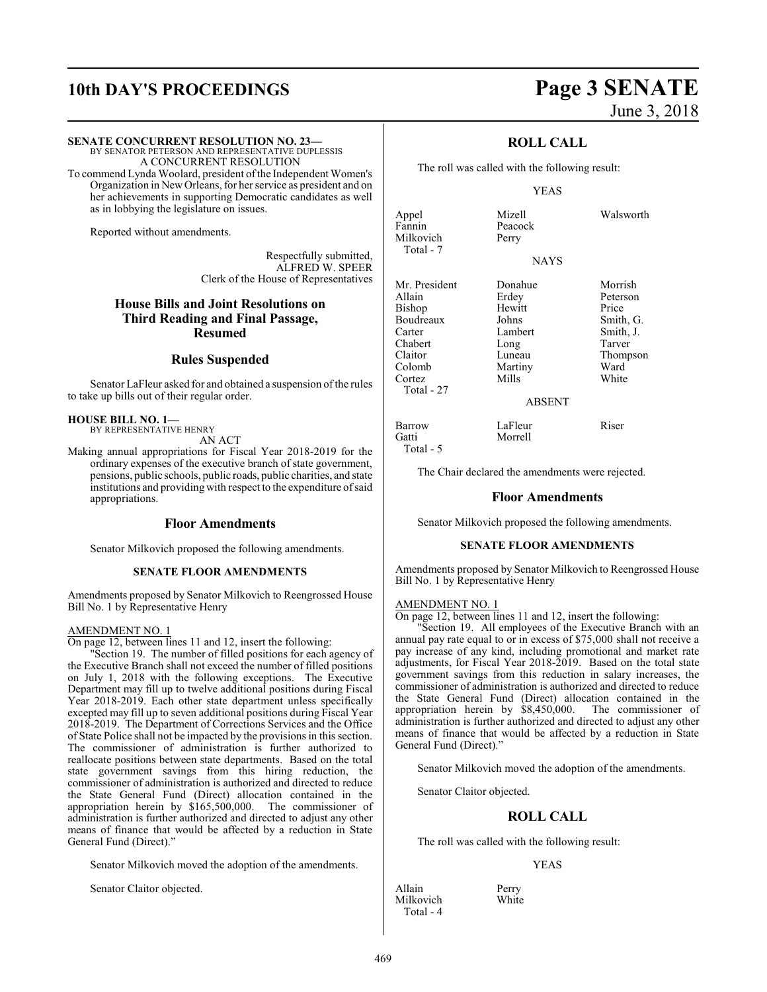## **10th DAY'S PROCEEDINGS Page 3 SENATE**

#### **SENATE CONCURRENT RESOLUTION NO. 23—**

BY SENATOR PETERSON AND REPRESENTATIVE DUPLESSIS A CONCURRENT RESOLUTION

To commend Lynda Woolard, president of the Independent Women's Organization in NewOrleans, for her service as president and on her achievements in supporting Democratic candidates as well as in lobbying the legislature on issues.

Reported without amendments.

Respectfully submitted, ALFRED W. SPEER Clerk of the House of Representatives

### **House Bills and Joint Resolutions on Third Reading and Final Passage, Resumed**

### **Rules Suspended**

Senator LaFleur asked for and obtained a suspension of the rules to take up bills out of their regular order.

#### **HOUSE BILL NO. 1—** BY REPRESENTATIVE HENRY

AN ACT

Making annual appropriations for Fiscal Year 2018-2019 for the ordinary expenses of the executive branch of state government, pensions, public schools, public roads, public charities, and state institutions and providing with respect to the expenditure ofsaid appropriations.

#### **Floor Amendments**

Senator Milkovich proposed the following amendments.

#### **SENATE FLOOR AMENDMENTS**

Amendments proposed by Senator Milkovich to Reengrossed House Bill No. 1 by Representative Henry

#### AMENDMENT NO. 1

On page 12, between lines 11 and 12, insert the following:

"Section 19. The number of filled positions for each agency of the Executive Branch shall not exceed the number of filled positions on July 1, 2018 with the following exceptions. The Executive Department may fill up to twelve additional positions during Fiscal Year 2018-2019. Each other state department unless specifically excepted may fill up to seven additional positions during Fiscal Year 2018-2019. The Department of Corrections Services and the Office of State Police shall not be impacted by the provisions in this section. The commissioner of administration is further authorized to reallocate positions between state departments. Based on the total state government savings from this hiring reduction, the commissioner of administration is authorized and directed to reduce the State General Fund (Direct) allocation contained in the appropriation herein by \$165,500,000. The commissioner of administration is further authorized and directed to adjust any other means of finance that would be affected by a reduction in State General Fund (Direct)."

Senator Milkovich moved the adoption of the amendments.

Senator Claitor objected.

# June 3, 2018

#### **ROLL CALL**

The roll was called with the following result:

#### YEAS

| Appel         | Mizell  | Walsworth |
|---------------|---------|-----------|
| Fannin        | Peacock |           |
| Milkovich     | Perry   |           |
| Total - 7     |         |           |
|               | NAYS    |           |
| Mr. President | Donahue | Morrish   |
| Allain        | Erdey   | Peterson  |
| Bishop        | Hewitt  | Price     |
| Boudreaux     | Johns   | Smith, G. |
| Carter        | Lambert | Smith, J. |
| Chabert       | Long    | Tarver    |
| Claitor       | Luneau  | Thompson  |
| Colomb        | Martiny | Ward      |
| Cortez        | Mills   | White     |
| Total - 27    |         |           |
|               | ABSENT  |           |
| Barrow        | LaFleur | Riser     |
| Gatti         | Morrell |           |
| Total - 5     |         |           |

The Chair declared the amendments were rejected.

#### **Floor Amendments**

Senator Milkovich proposed the following amendments.

#### **SENATE FLOOR AMENDMENTS**

Amendments proposed by Senator Milkovich to Reengrossed House Bill No. 1 by Representative Henry

#### AMENDMENT NO. 1

On page 12, between lines 11 and 12, insert the following:

"Section 19. All employees of the Executive Branch with an annual pay rate equal to or in excess of \$75,000 shall not receive a pay increase of any kind, including promotional and market rate adjustments, for Fiscal Year 2018-2019. Based on the total state government savings from this reduction in salary increases, the commissioner of administration is authorized and directed to reduce the State General Fund (Direct) allocation contained in the appropriation herein by \$8,450,000. The commissioner of administration is further authorized and directed to adjust any other means of finance that would be affected by a reduction in State General Fund (Direct)."

Senator Milkovich moved the adoption of the amendments.

Senator Claitor objected.

#### **ROLL CALL**

The roll was called with the following result:

#### YEAS

Allain Perry<br>
Milkovich White Milkovich Total - 4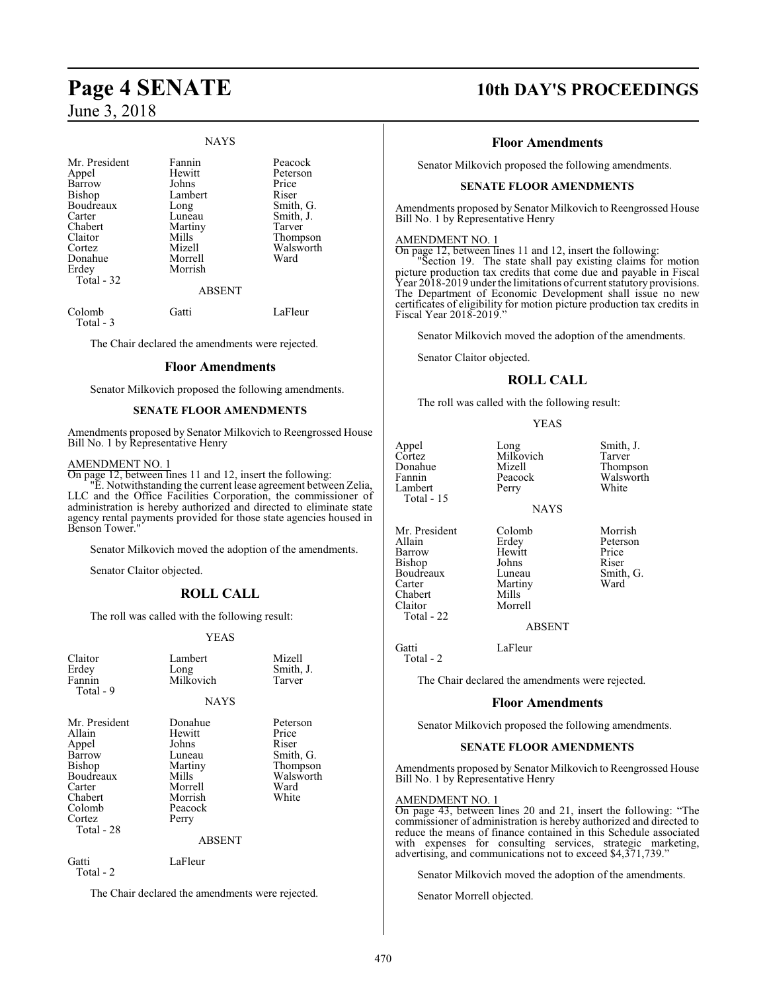#### NAYS

| Mr. President<br>Appel<br>Barrow<br>Bishop<br>Boudreaux<br>Carter<br>Chabert<br>Claitor<br>Cortez<br>Donahue<br>Erdey | Fannin<br>Hewitt<br>Johns<br>Lambert<br>Long<br>Luneau<br>Martiny<br>Mills<br>Mizell<br>Morrell<br>Morrish | Peacock<br>Peterson<br>Price<br>Riser<br>Smith, G.<br>Smith, J.<br>Tarver<br>Thompson<br>Walsworth<br>Ward |
|-----------------------------------------------------------------------------------------------------------------------|------------------------------------------------------------------------------------------------------------|------------------------------------------------------------------------------------------------------------|
| Total - 32                                                                                                            | <b>ABSENT</b>                                                                                              |                                                                                                            |
| Colomb<br>Total - 3                                                                                                   | Gatti                                                                                                      | LaFleur                                                                                                    |

The Chair declared the amendments were rejected.

#### **Floor Amendments**

Senator Milkovich proposed the following amendments.

#### **SENATE FLOOR AMENDMENTS**

Amendments proposed by Senator Milkovich to Reengrossed House Bill No. 1 by Representative Henry

#### AMENDMENT NO. 1

On page 12, between lines 11 and 12, insert the following:

"E. Notwithstanding the current lease agreement between Zelia, LLC and the Office Facilities Corporation, the commissioner of administration is hereby authorized and directed to eliminate state agency rental payments provided for those state agencies housed in Benson Tower.

Senator Milkovich moved the adoption of the amendments.

Senator Claitor objected.

#### **ROLL CALL**

The roll was called with the following result:

#### YEAS

| Claitor<br>Erdey<br>Fannin<br>Total - 9                                                                                         | Lambert<br>Long<br>Milkovich<br><b>NAYS</b>                                                                         | Mizell<br>Smith, J.<br>Tarver                                                     |
|---------------------------------------------------------------------------------------------------------------------------------|---------------------------------------------------------------------------------------------------------------------|-----------------------------------------------------------------------------------|
| Mr. President<br>Allain<br>Appel<br>Barrow<br><b>Bishop</b><br>Boudreaux<br>Carter<br>Chabert<br>Colomb<br>Cortez<br>Total - 28 | Donahue<br>Hewitt<br>Johns<br>Luneau<br>Martiny<br>Mills<br>Morrell<br>Morrish<br>Peacock<br>Perry<br><b>ABSENT</b> | Peterson<br>Price<br>Riser<br>Smith, G.<br>Thompson<br>Walsworth<br>Ward<br>White |

Gatti LaFleur Total - 2

The Chair declared the amendments were rejected.

## **Page 4 SENATE 10th DAY'S PROCEEDINGS**

#### **Floor Amendments**

Senator Milkovich proposed the following amendments.

#### **SENATE FLOOR AMENDMENTS**

Amendments proposed by Senator Milkovich to Reengrossed House Bill No. 1 by Representative Henry

#### AMENDMENT NO. 1

On page 12, between lines 11 and 12, insert the following: "Section 19. The state shall pay existing claims for motion

picture production tax credits that come due and payable in Fiscal Year 2018-2019 under the limitations of current statutory provisions. The Department of Economic Development shall issue no new certificates of eligibility for motion picture production tax credits in Fiscal Year 2018-2019."

Senator Milkovich moved the adoption of the amendments.

Senator Claitor objected.

#### **ROLL CALL**

The roll was called with the following result:

#### YEAS

| Appel<br>Cortez<br>Donahue<br>Fannin<br>Lambert<br>Total - 15                                          | Long<br>Milkovich<br>Mizell<br>Peacock<br>Perry<br><b>NAYS</b>                               | Smith, J.<br>Tarver<br>Thompson<br>Walsworth<br>White      |
|--------------------------------------------------------------------------------------------------------|----------------------------------------------------------------------------------------------|------------------------------------------------------------|
| Mr. President<br>Allain<br>Barrow<br>Bishop<br>Boudreaux<br>Carter<br>Chabert<br>Claitor<br>Total - 22 | Colomb<br>Erdey<br>Hewitt<br>Johns<br>Luneau<br>Martiny<br>Mills<br>Morrell<br><b>ABSENT</b> | Morrish<br>Peterson<br>Price<br>Riser<br>Smith, G.<br>Ward |
| Gatti                                                                                                  | LaFleur                                                                                      |                                                            |

Total - 2

The Chair declared the amendments were rejected.

#### **Floor Amendments**

Senator Milkovich proposed the following amendments.

#### **SENATE FLOOR AMENDMENTS**

Amendments proposed by Senator Milkovich to Reengrossed House Bill No. 1 by Representative Henry

#### AMENDMENT NO. 1

On page 43, between lines 20 and 21, insert the following: "The commissioner of administration is hereby authorized and directed to reduce the means of finance contained in this Schedule associated with expenses for consulting services, strategic marketing, advertising, and communications not to exceed \$4,371,739."

Senator Milkovich moved the adoption of the amendments.

Senator Morrell objected.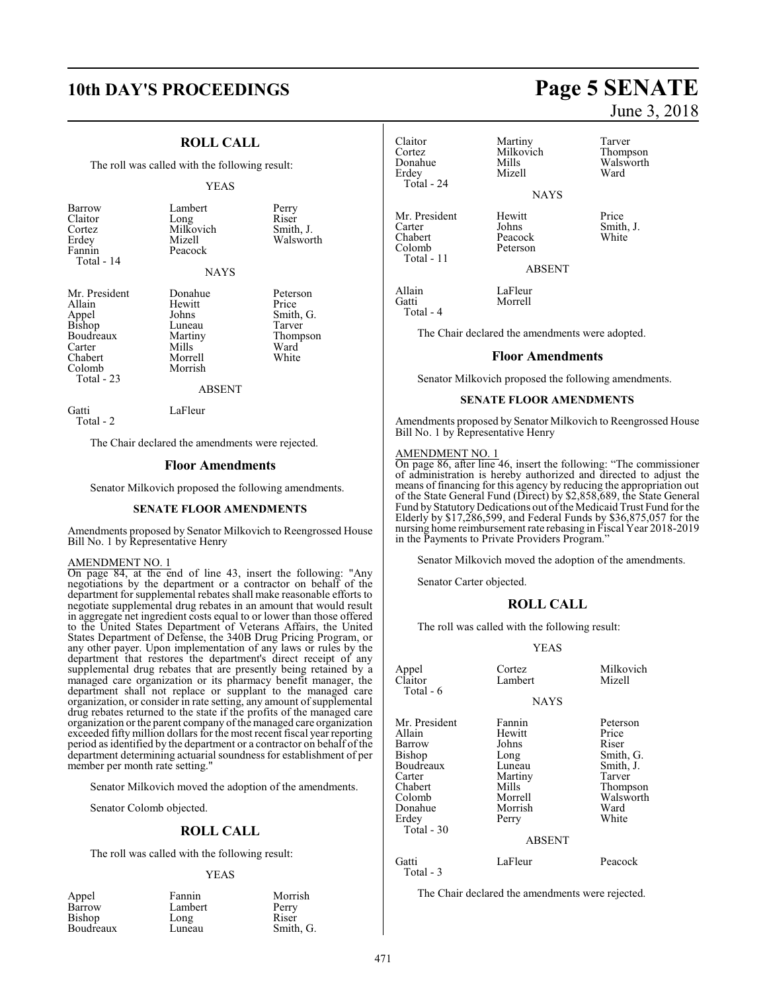## **10th DAY'S PROCEEDINGS Page 5 SENATE**

#### **ROLL CALL**

The roll was called with the following result:

#### YEAS

Smith, J. Walsworth

Peterson

| Barrow<br>Claitor<br>Cortez<br>Erdey<br>Fannin<br>Total - 14 | Lambert<br>Long<br>Milkovich<br>Mizell<br>Peacock<br><b>NAYS</b> | Perry<br>Riser<br>Smith<br>Wals |
|--------------------------------------------------------------|------------------------------------------------------------------|---------------------------------|
|                                                              |                                                                  |                                 |
| Mr. President<br>Allain                                      | Donahue<br>Hewitt                                                | Peter<br>Price                  |

| Allain          | Hewitt        | Price     |
|-----------------|---------------|-----------|
|                 | Johns         | Smith, G. |
| Appel<br>Bishop | Luneau        | Tarver    |
| Boudreaux       | Martiny       | Thompson  |
| Carter          | Mills         | Ward      |
| Chabert         | Morrell       | White     |
| Colomb          | Morrish       |           |
| Total - 23      |               |           |
|                 | <b>ABSENT</b> |           |
| Gatti           | LaFleur       |           |

Total - 2

The Chair declared the amendments were rejected.

#### **Floor Amendments**

Senator Milkovich proposed the following amendments.

#### **SENATE FLOOR AMENDMENTS**

Amendments proposed by Senator Milkovich to Reengrossed House Bill No. 1 by Representative Henry

#### AMENDMENT NO. 1

On page 84, at the end of line 43, insert the following: "Any negotiations by the department or a contractor on behalf of the department for supplemental rebates shall make reasonable efforts to negotiate supplemental drug rebates in an amount that would result in aggregate net ingredient costs equal to or lower than those offered to the United States Department of Veterans Affairs, the United States Department of Defense, the 340B Drug Pricing Program, or any other payer. Upon implementation of any laws or rules by the department that restores the department's direct receipt of any supplemental drug rebates that are presently being retained by a managed care organization or its pharmacy benefit manager, the department shall not replace or supplant to the managed care organization, or consider in rate setting, any amount of supplemental drug rebates returned to the state if the profits of the managed care organization or the parent company ofthe managed care organization exceeded fifty million dollars for the most recent fiscal year reporting period as identified by the department or a contractor on behalf of the department determining actuarial soundness for establishment of per member per month rate setting.

Senator Milkovich moved the adoption of the amendments.

Senator Colomb objected.

#### **ROLL CALL**

The roll was called with the following result:

#### YEAS

| Morrish   |
|-----------|
| Perry     |
| Riser     |
| Smith, G. |
|           |

## Cortez Milkovich<br>
Donahue Mills Erdey Total - 24 Mr. President Hewitt Price<br>Carter Johns Smith Carter Johns Smith, J. Chabert Peacock<br>Colomb Peterson Total - 11

Claitor Martiny Tarver<br>
Cortez Milkovich Thompson Mills Walsworth<br>
Mizell Ward

NAYS

Peterson

June 3, 2018

ABSENT

Allain LaFleur<br>Gatti Morrell Total - 4

The Chair declared the amendments were adopted.

Morrell

#### **Floor Amendments**

Senator Milkovich proposed the following amendments.

#### **SENATE FLOOR AMENDMENTS**

Amendments proposed by Senator Milkovich to Reengrossed House Bill No. 1 by Representative Henry

#### AMENDMENT NO. 1

On page 86, after line 46, insert the following: "The commissioner of administration is hereby authorized and directed to adjust the means of financing for this agency by reducing the appropriation out of the State General Fund (Direct) by \$2,858,689, the State General Fund by Statutory Dedications out of the Medicaid Trust Fund for the Elderly by \$17,286,599, and Federal Funds by \$36,875,057 for the nursing home reimbursement rate rebasing in Fiscal Year 2018-2019 in the Payments to Private Providers Program."

Senator Milkovich moved the adoption of the amendments.

Senator Carter objected.

#### **ROLL CALL**

The roll was called with the following result:

#### YEAS

| Appel<br>Claitor<br>Total - 6                                                                                             | Cortez<br>Lambert                                                                                               | Milkovich<br>Mizell                                                                                      |
|---------------------------------------------------------------------------------------------------------------------------|-----------------------------------------------------------------------------------------------------------------|----------------------------------------------------------------------------------------------------------|
|                                                                                                                           | <b>NAYS</b>                                                                                                     |                                                                                                          |
| Mr. President<br>Allain<br>Barrow<br>Bishop<br>Boudreaux<br>Carter<br>Chabert<br>Colomb<br>Donahue<br>Erdev<br>Total - 30 | Fannin<br>Hewitt<br>Johns<br>Long<br>Luneau<br>Martiny<br>Mills<br>Morrell<br>Morrish<br>Perry<br><b>ABSENT</b> | Peterson<br>Price<br>Riser<br>Smith, G.<br>Smith, J.<br>Tarver<br>Thompson<br>Walsworth<br>Ward<br>White |
| Gatti<br>Total - 3                                                                                                        | LaFleur                                                                                                         | Peacock                                                                                                  |

The Chair declared the amendments were rejected.

471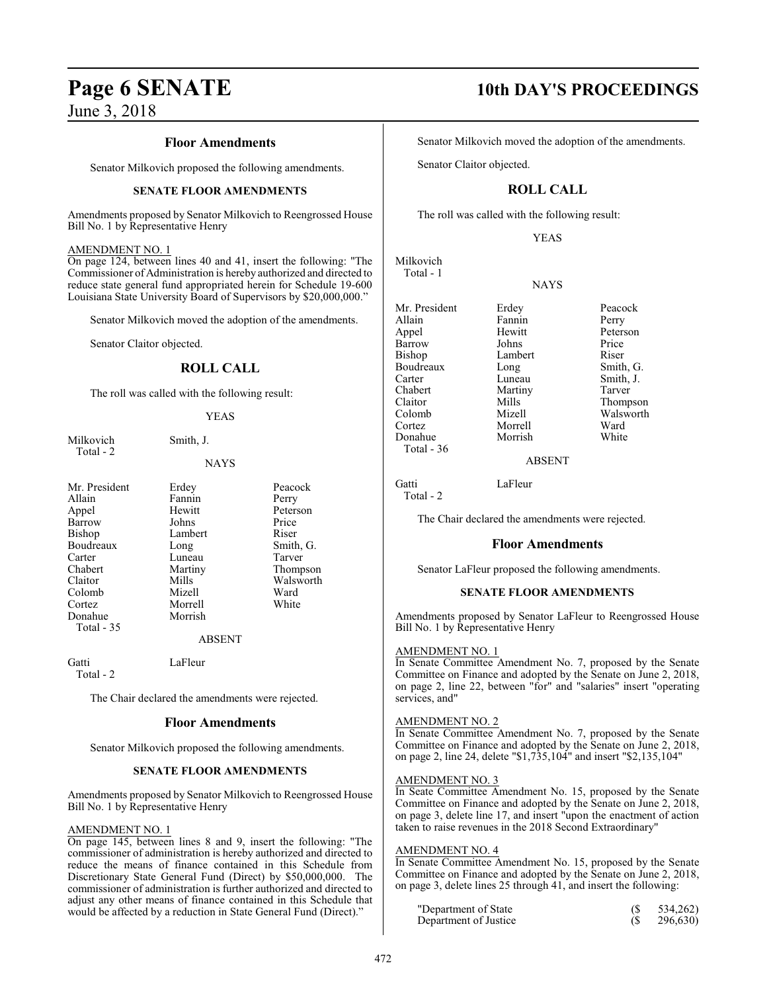#### **Floor Amendments**

Senator Milkovich proposed the following amendments.

#### **SENATE FLOOR AMENDMENTS**

Amendments proposed by Senator Milkovich to Reengrossed House Bill No. 1 by Representative Henry

#### AMENDMENT NO. 1

On page 124, between lines 40 and 41, insert the following: "The Commissioner of Administration is hereby authorized and directed to reduce state general fund appropriated herein for Schedule 19-600 Louisiana State University Board of Supervisors by \$20,000,000."

Senator Milkovich moved the adoption of the amendments.

Senator Claitor objected.

#### **ROLL CALL**

The roll was called with the following result:

#### YEAS

Milkovich Smith, J. Total - 2

### NAYS

Peacock<br>Perry

Peterson<br>Price

Smith, G. Tarver Thompson Walsworth<br>Ward

White

| Mr. President | Erdey         | Peaco  |
|---------------|---------------|--------|
| Allain        | Fannin        | Perry  |
| Appel         | Hewitt        | Peters |
| Barrow        | Johns         | Price  |
| Bishop        | Lambert       | Riser  |
| Boudreaux     | Long          | Smith  |
| Carter        | Luneau        | Tarve  |
| Chabert       | Martiny       | Thom   |
| Claitor       | Mills         | Walsy  |
| Colomb        | Mizell        | Ward   |
| Cortez        | Morrell       | White  |
| Donahue       | Morrish       |        |
| Total - 35    |               |        |
|               | <b>ABSENT</b> |        |
|               |               |        |

Gatti LaFleur Total - 2

The Chair declared the amendments were rejected.

#### **Floor Amendments**

Senator Milkovich proposed the following amendments.

#### **SENATE FLOOR AMENDMENTS**

Amendments proposed by Senator Milkovich to Reengrossed House Bill No. 1 by Representative Henry

#### AMENDMENT NO. 1

On page 145, between lines 8 and 9, insert the following: "The commissioner of administration is hereby authorized and directed to reduce the means of finance contained in this Schedule from Discretionary State General Fund (Direct) by \$50,000,000. The commissioner of administration is further authorized and directed to adjust any other means of finance contained in this Schedule that would be affected by a reduction in State General Fund (Direct)."

## **Page 6 SENATE 10th DAY'S PROCEEDINGS**

Senator Milkovich moved the adoption of the amendments.

Senator Claitor objected.

### **ROLL CALL**

The roll was called with the following result:

YEAS

**NAYS** 

Milkovich Total - 1

Mr. President Erdey Peacock<br>Allain Fannin Perry Allain Fannin<br>Appel Hewitt Barrow Bishop Lambert Riser Boudreaux Long Smith, G. Carter Luneau Smith, J.<br>Chabert Martiny Tarver

Cortez Morrell Ward Donahue Total - 36

Hewitt Peterson<br>Johns Price Claitor Mills Thompson<br>Colomb Mizell Walsworth Mizell Walsworth<br>
Morrell Ward

ABSENT

Gatti LaFleur

Martiny

Total - 2

The Chair declared the amendments were rejected.

#### **Floor Amendments**

Senator LaFleur proposed the following amendments.

#### **SENATE FLOOR AMENDMENTS**

Amendments proposed by Senator LaFleur to Reengrossed House Bill No. 1 by Representative Henry

#### AMENDMENT NO. 1

In Senate Committee Amendment No. 7, proposed by the Senate Committee on Finance and adopted by the Senate on June 2, 2018, on page 2, line 22, between "for" and "salaries" insert "operating services, and"

#### AMENDMENT NO. 2

In Senate Committee Amendment No. 7, proposed by the Senate Committee on Finance and adopted by the Senate on June 2, 2018, on page 2, line 24, delete "\$1,735,104" and insert "\$2,135,104"

#### AMENDMENT NO. 3

In Seate Committee Amendment No. 15, proposed by the Senate Committee on Finance and adopted by the Senate on June 2, 2018, on page 3, delete line 17, and insert "upon the enactment of action taken to raise revenues in the 2018 Second Extraordinary"

#### AMENDMENT NO. 4

In Senate Committee Amendment No. 15, proposed by the Senate Committee on Finance and adopted by the Senate on June 2, 2018, on page 3, delete lines 25 through 41, and insert the following:

| "Department of State" | 534,262) |
|-----------------------|----------|
| Department of Justice | 296,630) |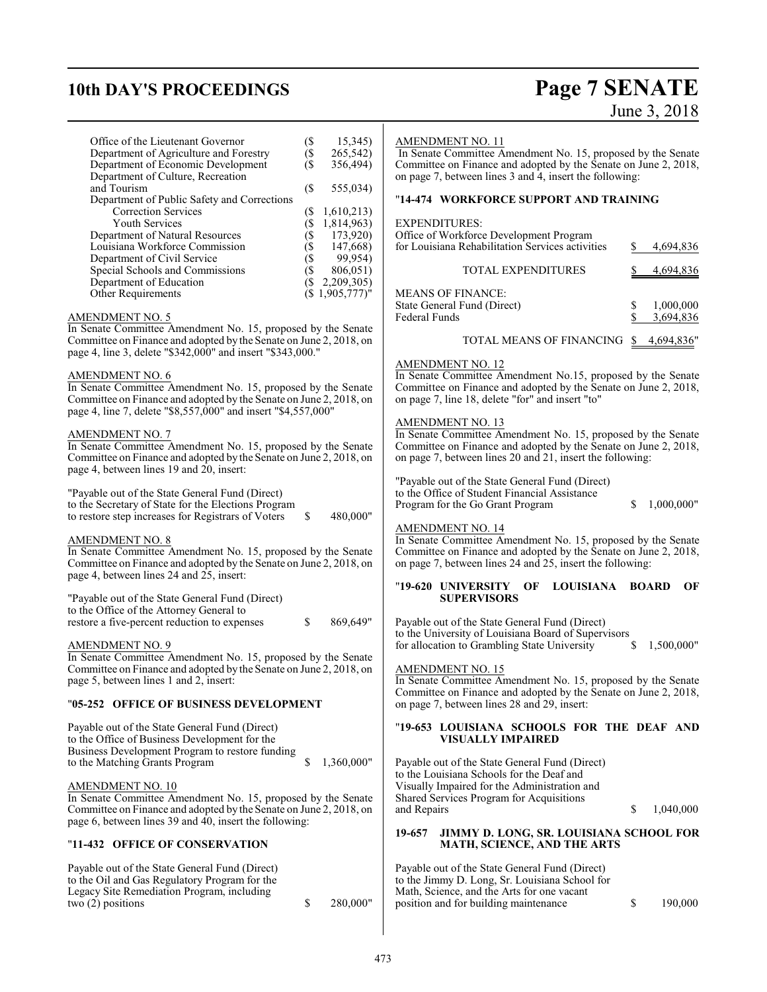## **10th DAY'S PROCEEDINGS Page 7 SENATE**

# June 3, 2018

| Office of the Lieutenant Governor                                  | $($ \$                    | 15,345)        | <b>AMENDME</b>              |
|--------------------------------------------------------------------|---------------------------|----------------|-----------------------------|
| Department of Agriculture and Forestry                             | $($ \$                    | 265,542)       | In Senate C                 |
| Department of Economic Development                                 | $($ \$                    | 356,494)       | Committee c                 |
| Department of Culture, Recreation                                  |                           |                | on page 7, be               |
| and Tourism                                                        | $($ \$                    | 555,034)       |                             |
| Department of Public Safety and Corrections                        |                           |                | $"14-474$ W                 |
| <b>Correction Services</b>                                         | $($ \$                    | 1,610,213      |                             |
| Youth Services                                                     | $\overline{\mathfrak{s}}$ | 1,814,963)     | <b>EXPENDIT</b>             |
| Department of Natural Resources                                    | Ì\$                       | 173,920)       | Office of Wo                |
| Louisiana Workforce Commission                                     | $\zeta$                   | 147,668)       | for Louisian                |
| Department of Civil Service                                        | Ì\$                       | 99,954)        |                             |
| Special Schools and Commissions                                    | $\zeta$                   | 806,051)       |                             |
| Department of Education                                            | $($ \$                    | 2,209,305)     |                             |
| Other Requirements                                                 |                           | (\$1,905,777)" | <b>MEANS OF</b>             |
|                                                                    |                           |                | <b>State Genera</b>         |
| <b>AMENDMENT NO. 5</b>                                             |                           |                | Federal Fund                |
| In Senate Committee Amendment No. 15, proposed by the Senate       |                           |                |                             |
| Committee on Finance and adopted by the Senate on June 2, 2018, on |                           |                |                             |
| page 4, line 3, delete "\$342,000" and insert "\$343,000."         |                           |                |                             |
|                                                                    |                           |                | AMENDME                     |
| AMENDMENT NO. 6                                                    |                           |                | In Senate Co                |
| In Senate Committee Amendment No. 15, proposed by the Senate       |                           |                | Committee o                 |
| Committee on Finance and adopted by the Senate on June 2, 2018, on |                           |                | on page 7, li               |
| page 4, line 7, delete "\$8,557,000" and insert "\$4,557,000"      |                           |                |                             |
|                                                                    |                           |                | AMENDME                     |
| <b>AMENDMENT NO. 7</b>                                             |                           |                | In Senate Co                |
| In Senate Committee Amendment No. 15, proposed by the Senate       |                           |                | Committee o                 |
|                                                                    |                           |                |                             |
| Committee on Finance and adopted by the Senate on June 2, 2018, on |                           |                | on page 7, b                |
| page 4, between lines 19 and 20, insert:                           |                           |                |                             |
|                                                                    |                           |                | "Payable out                |
| "Payable out of the State General Fund (Direct)                    |                           |                | to the Office               |
| to the Secretary of State for the Elections Program                |                           |                | Program for                 |
| to restore step increases for Registrars of Voters                 | \$                        | 480,000"       |                             |
|                                                                    |                           |                | <b>AMENDME</b>              |
| <b>AMENDMENT NO. 8</b>                                             |                           |                | In Senate Co                |
| In Senate Committee Amendment No. 15, proposed by the Senate       |                           |                | Committee o                 |
| Committee on Finance and adopted by the Senate on June 2, 2018, on |                           |                | on page 7, b                |
| page 4, between lines 24 and 25, insert:                           |                           |                |                             |
|                                                                    |                           |                | "19-620 UN                  |
| "Payable out of the State General Fund (Direct)                    |                           |                | Sυ                          |
| to the Office of the Attorney General to                           |                           |                |                             |
| restore a five-percent reduction to expenses                       | \$                        | 869,649"       | Payable out                 |
|                                                                    |                           |                | to the Unive                |
| <b>AMENDMENT NO. 9</b>                                             |                           |                | for allocation              |
| In Senate Committee Amendment No. 15, proposed by the Senate       |                           |                |                             |
| Committee on Finance and adopted by the Senate on June 2, 2018, on |                           |                | <b>AMENDME</b>              |
| page 5, between lines 1 and 2, insert:                             |                           |                | In Senate Co                |
|                                                                    |                           |                | Committee o                 |
| "05-252 OFFICE OF BUSINESS DEVELOPMENT                             |                           |                | on page 7, b                |
|                                                                    |                           |                |                             |
| Payable out of the State General Fund (Direct)                     |                           |                | "19-653 LO                  |
| to the Office of Business Development for the                      |                           |                | VI                          |
| Business Development Program to restore funding                    |                           |                |                             |
| to the Matching Grants Program                                     | \$                        | 1,360,000"     | Payable out                 |
|                                                                    |                           |                | to the Louisi               |
| <b>AMENDMENT NO. 10</b>                                            |                           |                | Visually Imp                |
| In Senate Committee Amendment No. 15, proposed by the Senate       |                           |                | Shared Servi                |
| Committee on Finance and adopted by the Senate on June 2, 2018, on |                           |                | and Repairs                 |
| page 6, between lines 39 and 40, insert the following:             |                           |                |                             |
|                                                                    |                           |                | 19-657<br>JЦ                |
| "11-432 OFFICE OF CONSERVATION                                     |                           |                | M.                          |
|                                                                    |                           |                |                             |
| Payable out of the State General Fund (Direct)                     |                           |                | Payable out                 |
|                                                                    |                           |                |                             |
| to the Oil and Gas Regulatory Program for the                      |                           |                | to the Jimmy<br>Math, Scien |
| Legacy Site Remediation Program, including                         | \$                        |                |                             |
| two $(2)$ positions                                                |                           | 280,000"       | position and                |
|                                                                    |                           |                |                             |
|                                                                    |                           |                |                             |

#### ENT NO. 11

In Senate Committee Amendment No. 15, proposed by the Senate Committee on Finance and adopted by the Senate on June 2, 2018, etween lines 3 and 4, insert the following:

#### "**14-474 WORKFORCE SUPPORT AND TRAINING**

#### EXPENDITURES:

| Office of Workforce Development Program<br>for Louisiana Rehabilitation Services activities | 4,694,836              |
|---------------------------------------------------------------------------------------------|------------------------|
| <b>TOTAL EXPENDITURES</b>                                                                   | 4,694,836              |
| <b>MEANS OF FINANCE:</b><br>State General Fund (Direct)<br><b>Federal Funds</b>             | 1,000,000<br>3,694,836 |
| TOTAL MEANS OF FINANCING \$                                                                 | 4.694.836"             |

#### ENT NO. 12

In Senate Committee Amendment No.15, proposed by the Senate Committee on Finance and adopted by the Senate on June 2, 2018, ne 18, delete "for" and insert "to"

#### INT NO. 13

ommittee Amendment No. 15, proposed by the Senate on Finance and adopted by the Senate on June 2, 2018, etween lines 20 and 21, insert the following:

of the State General Fund (Direct) of Student Financial Assistance the Go Grant Program  $$ 1,000,000"$ 

#### ENT NO. 14

ommittee Amendment No. 15, proposed by the Senate on Finance and adopted by the Senate on June 2, 2018, etween lines 24 and 25, insert the following:

#### "**19-620 UNIVERSITY OF LOUISIANA BOARD OF SPERVISORS**

of the State General Fund (Direct) rsity of Louisiana Board of Supervisors<br>n to Grambling State University  $\qquad \quad \ \$  1,500,000" n to Grambling State University

#### $ENT$  NO. 15

 $\overline{\text{Dmm}}$  In Senate Amendment No. 15, proposed by the Senate on Finance and adopted by the Senate on June 2, 2018, etween lines 28 and 29, insert:

#### "**19-653 LOUISIANA SCHOOLS FOR THE DEAF AND ISUALLY IMPAIRED**

of the State General Fund (Direct) iana Schools for the Deaf and vaired for the Administration and ices Program for Acquisitions  $$ 1,040,000$ 

#### **19-657 JIMMY D. LONG, SR. LOUISIANA SCHOOL FOR MATH, SCIENCE, AND THE ARTS**

| Payable out of the State General Fund (Direct) |    |         |
|------------------------------------------------|----|---------|
| to the Jimmy D. Long, Sr. Louisiana School for |    |         |
| Math, Science, and the Arts for one vacant     |    |         |
| position and for building maintenance          | -S | 190,000 |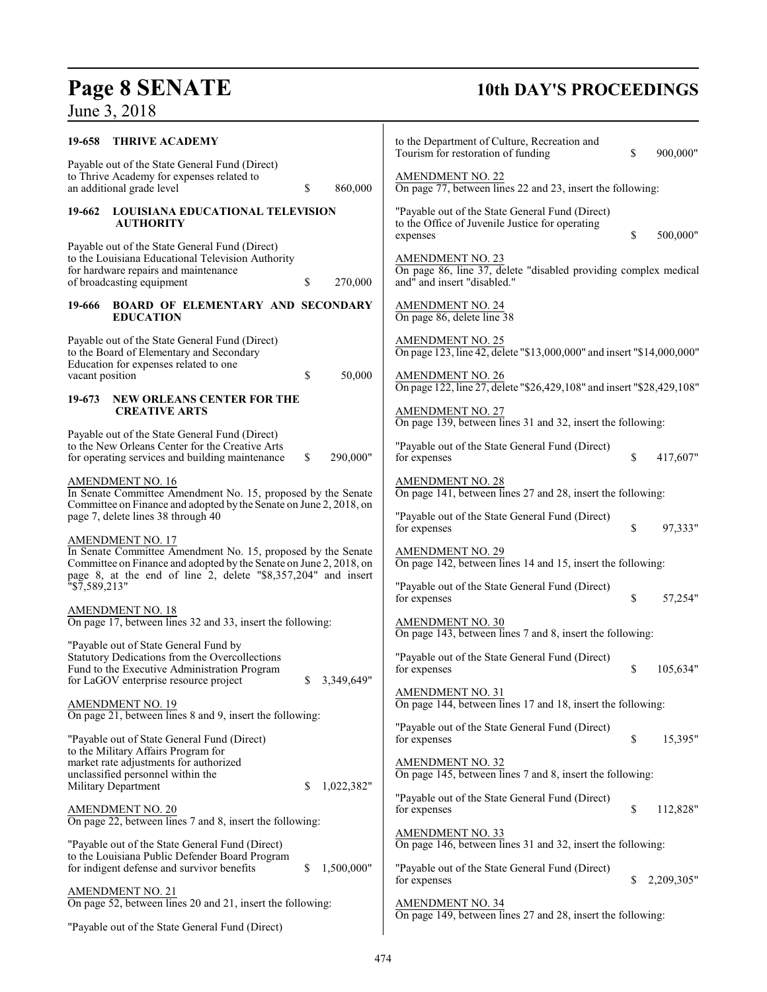# **Page 8 SENATE**<br>June 3, 2018

## **10th DAY'S PROCEEDINGS**

| 19-658                    | <b>THRIVE ACADEMY</b>                                                                                                                                                                                                          |                  | to the Department of Culture, Recreation and<br>Tourism for restoration of funding                                        | \$<br>900,000"   |
|---------------------------|--------------------------------------------------------------------------------------------------------------------------------------------------------------------------------------------------------------------------------|------------------|---------------------------------------------------------------------------------------------------------------------------|------------------|
|                           | Payable out of the State General Fund (Direct)<br>to Thrive Academy for expenses related to<br>an additional grade level                                                                                                       | \$<br>860,000    | <b>AMENDMENT NO. 22</b><br>On page 77, between lines 22 and 23, insert the following:                                     |                  |
| 19-662                    | <b>LOUISIANA EDUCATIONAL TELEVISION</b><br><b>AUTHORITY</b>                                                                                                                                                                    |                  | "Payable out of the State General Fund (Direct)<br>to the Office of Juvenile Justice for operating<br>expenses            | \$<br>500,000"   |
|                           | Payable out of the State General Fund (Direct)<br>to the Louisiana Educational Television Authority<br>for hardware repairs and maintenance<br>of broadcasting equipment                                                       | \$<br>270,000    | <b>AMENDMENT NO. 23</b><br>On page 86, line 37, delete "disabled providing complex medical<br>and" and insert "disabled." |                  |
| 19-666                    | <b>BOARD OF ELEMENTARY AND SECONDARY</b><br><b>EDUCATION</b>                                                                                                                                                                   |                  | <b>AMENDMENT NO. 24</b><br>On page 86, delete line 38                                                                     |                  |
|                           | Payable out of the State General Fund (Direct)<br>to the Board of Elementary and Secondary<br>Education for expenses related to one                                                                                            |                  | <b>AMENDMENT NO. 25</b><br>On page 123, line 42, delete "\$13,000,000" and insert "\$14,000,000"                          |                  |
| vacant position<br>19-673 | NEW ORLEANS CENTER FOR THE                                                                                                                                                                                                     | \$<br>50,000     | <b>AMENDMENT NO. 26</b><br>On page 122, line 27, delete "\$26,429,108" and insert "\$28,429,108"                          |                  |
|                           | <b>CREATIVE ARTS</b>                                                                                                                                                                                                           |                  | <b>AMENDMENT NO. 27</b><br>On page 139, between lines 31 and 32, insert the following:                                    |                  |
|                           | Payable out of the State General Fund (Direct)<br>to the New Orleans Center for the Creative Arts<br>for operating services and building maintenance                                                                           | \$<br>290,000"   | "Payable out of the State General Fund (Direct)<br>for expenses                                                           | \$<br>417,607"   |
|                           | <b>AMENDMENT NO. 16</b><br>In Senate Committee Amendment No. 15, proposed by the Senate<br>Committee on Finance and adopted by the Senate on June 2, 2018, on                                                                  |                  | <b>AMENDMENT NO. 28</b><br>On page 141, between lines 27 and 28, insert the following:                                    |                  |
|                           | page 7, delete lines 38 through 40                                                                                                                                                                                             |                  | "Payable out of the State General Fund (Direct)<br>for expenses                                                           | \$<br>97,333"    |
|                           | <b>AMENDMENT NO. 17</b><br>In Senate Committee Amendment No. 15, proposed by the Senate<br>Committee on Finance and adopted by the Senate on June 2, 2018, on<br>page 8, at the end of line 2, delete "\$8,357,204" and insert |                  | <b>AMENDMENT NO. 29</b><br>On page 142, between lines 14 and 15, insert the following:                                    |                  |
| "\$7,589,213"             |                                                                                                                                                                                                                                |                  | "Payable out of the State General Fund (Direct)<br>for expenses                                                           | \$<br>57,254"    |
|                           | <b>AMENDMENT NO. 18</b><br>On page 17, between lines 32 and 33, insert the following:                                                                                                                                          |                  | <b>AMENDMENT NO. 30</b><br>On page 143, between lines 7 and 8, insert the following:                                      |                  |
|                           | "Payable out of State General Fund by<br>Statutory Dedications from the Overcollections<br>Fund to the Executive Administration Program<br>for LaGOV enterprise resource project                                               | \$<br>3,349,649" | "Payable out of the State General Fund (Direct)<br>for expenses                                                           | \$<br>105,634"   |
|                           | <b>AMENDMENT NO. 19</b><br>On page 21, between lines 8 and 9, insert the following:                                                                                                                                            |                  | <b>AMENDMENT NO. 31</b><br>On page 144, between lines 17 and 18, insert the following:                                    |                  |
|                           | "Payable out of State General Fund (Direct)                                                                                                                                                                                    |                  | "Payable out of the State General Fund (Direct)<br>for expenses                                                           | \$<br>15,395"    |
| Military Department       | to the Military Affairs Program for<br>market rate adjustments for authorized<br>unclassified personnel within the                                                                                                             | \$<br>1,022,382" | <b>AMENDMENT NO. 32</b><br>On page 145, between lines 7 and 8, insert the following:                                      |                  |
|                           | <u>AMENDMENT NO. 20</u><br>On page 22, between lines 7 and 8, insert the following:                                                                                                                                            |                  | "Payable out of the State General Fund (Direct)<br>for expenses                                                           | \$<br>112,828"   |
|                           | "Payable out of the State General Fund (Direct)                                                                                                                                                                                |                  | <b>AMENDMENT NO. 33</b><br>On page 146, between lines 31 and 32, insert the following:                                    |                  |
|                           | to the Louisiana Public Defender Board Program<br>for indigent defense and survivor benefits                                                                                                                                   | \$<br>1,500,000" | "Payable out of the State General Fund (Direct)<br>for expenses                                                           | \$<br>2,209,305" |
|                           | <u>AMENDMENT NO. 21</u><br>On page 52, between lines 20 and 21, insert the following:                                                                                                                                          |                  | <b>AMENDMENT NO. 34</b><br>On page 149, between lines 27 and 28, insert the following:                                    |                  |
|                           | "Payable out of the State General Fund (Direct)                                                                                                                                                                                |                  |                                                                                                                           |                  |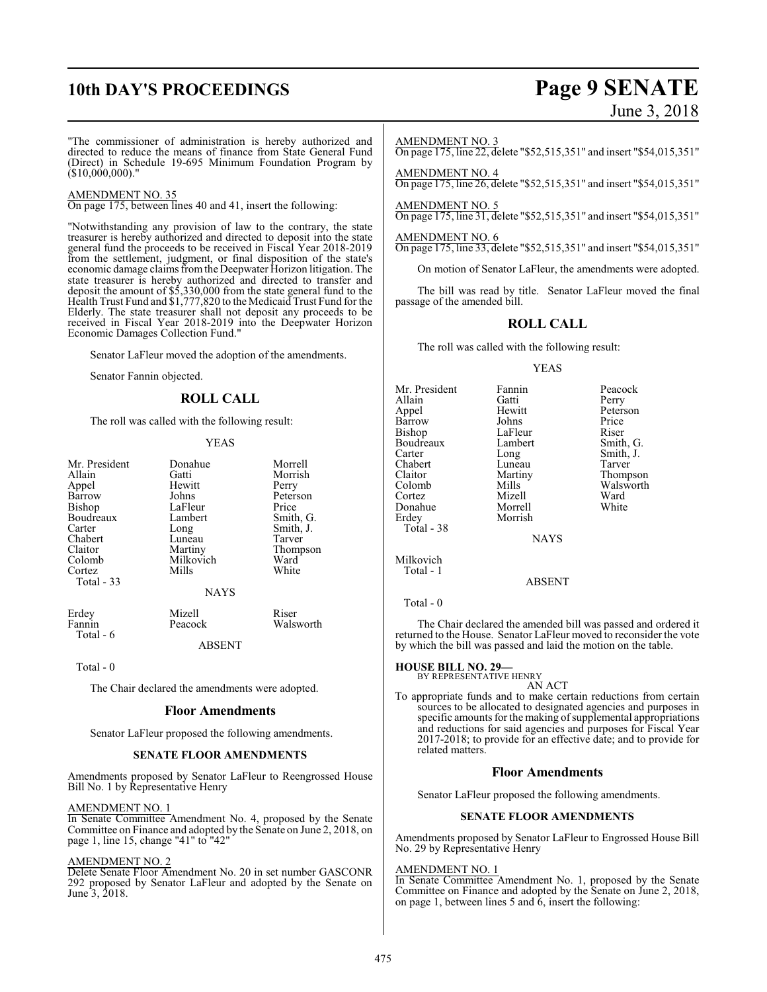## **10th DAY'S PROCEEDINGS Page 9 SENATE**

# June 3, 2018

"The commissioner of administration is hereby authorized and directed to reduce the means of finance from State General Fund (Direct) in Schedule 19-695 Minimum Foundation Program by  $(S10,000,000)$ ."

#### AMENDMENT NO. 35

On page 175, between lines 40 and 41, insert the following:

"Notwithstanding any provision of law to the contrary, the state treasurer is hereby authorized and directed to deposit into the state general fund the proceeds to be received in Fiscal Year 2018-2019 from the settlement, judgment, or final disposition of the state's economic damage claims fromthe Deepwater Horizon litigation. The state treasurer is hereby authorized and directed to transfer and deposit the amount of \$5,330,000 from the state general fund to the Health Trust Fund and \$1,777,820 to the Medicaid Trust Fund for the Elderly. The state treasurer shall not deposit any proceeds to be received in Fiscal Year 2018-2019 into the Deepwater Horizon Economic Damages Collection Fund."

Senator LaFleur moved the adoption of the amendments.

Senator Fannin objected.

#### **ROLL CALL**

The roll was called with the following result:

#### YEAS

| Mr. President | Donahue     | Morrell   |
|---------------|-------------|-----------|
| Allain        | Gatti       | Morrish   |
| Appel         | Hewitt      | Perry     |
| Barrow        | Johns       | Peterson  |
| Bishop        | LaFleur     | Price     |
| Boudreaux     | Lambert     | Smith, G. |
| Carter        | Long        | Smith, J. |
| Chabert       | Luneau      | Tarver    |
| Claitor       | Martiny     | Thompson  |
| Colomb        | Milkovich   | Ward      |
| Cortez        | Mills       | White     |
| Total - 33    |             |           |
|               | <b>NAYS</b> |           |
| Erdey         | Mizell      | Riser     |
| Fannin        | Peacock     | Walsworth |
| Total - 6     |             |           |

ABSENT

Total - 0

The Chair declared the amendments were adopted.

#### **Floor Amendments**

Senator LaFleur proposed the following amendments.

#### **SENATE FLOOR AMENDMENTS**

Amendments proposed by Senator LaFleur to Reengrossed House Bill No. 1 by Representative Henry

#### AMENDMENT NO. 1

In Senate Committee Amendment No. 4, proposed by the Senate Committee on Finance and adopted by the Senate on June 2, 2018, on page 1, line 15, change "41" to "42"

#### AMENDMENT NO. 2

Delete Senate Floor Amendment No. 20 in set number GASCONR 292 proposed by Senator LaFleur and adopted by the Senate on June 3, 2018.

#### AMENDMENT NO. 3

On page 175, line 22, delete "\$52,515,351" and insert "\$54,015,351"

AMENDMENT NO. 4 On page 175, line 26, delete "\$52,515,351" and insert "\$54,015,351"

AMENDMENT NO. 5 On page 175, line 31, delete "\$52,515,351" and insert "\$54,015,351"

#### AMENDMENT NO. 6

On page 175, line 33, delete "\$52,515,351" and insert "\$54,015,351"

On motion of Senator LaFleur, the amendments were adopted.

The bill was read by title. Senator LaFleur moved the final passage of the amended bill.

#### **ROLL CALL**

The roll was called with the following result:

#### YEAS

| Mr. President | Fannin      | Peacock   |
|---------------|-------------|-----------|
| Allain        | Gatti       | Perry     |
| Appel         | Hewitt      | Peterson  |
| Barrow        | Johns       | Price     |
| <b>Bishop</b> | LaFleur     | Riser     |
| Boudreaux     | Lambert     | Smith, G. |
| Carter        | Long        | Smith, J. |
| Chabert       | Luneau      | Tarver    |
| Claitor       | Martiny     | Thompson  |
| Colomb        | Mills       | Walsworth |
| Cortez        | Mizell      | Ward      |
| Donahue       | Morrell     | White     |
| Erdey         | Morrish     |           |
| Total - 38    |             |           |
|               | <b>NAYS</b> |           |
| Milkovich     |             |           |
| Total - 1     | ABSENT      |           |

Total - 0

The Chair declared the amended bill was passed and ordered it returned to the House. Senator LaFleur moved to reconsider the vote by which the bill was passed and laid the motion on the table.

## **HOUSE BILL NO. 29—** BY REPRESENTATIVE HENRY

#### AN ACT

To appropriate funds and to make certain reductions from certain sources to be allocated to designated agencies and purposes in specific amounts for the making of supplemental appropriations and reductions for said agencies and purposes for Fiscal Year 2017-2018; to provide for an effective date; and to provide for related matters.

#### **Floor Amendments**

Senator LaFleur proposed the following amendments.

#### **SENATE FLOOR AMENDMENTS**

Amendments proposed by Senator LaFleur to Engrossed House Bill No. 29 by Representative Henry

#### AMENDMENT NO. 1

In Senate Committee Amendment No. 1, proposed by the Senate Committee on Finance and adopted by the Senate on June 2, 2018, on page 1, between lines 5 and  $6$ , insert the following: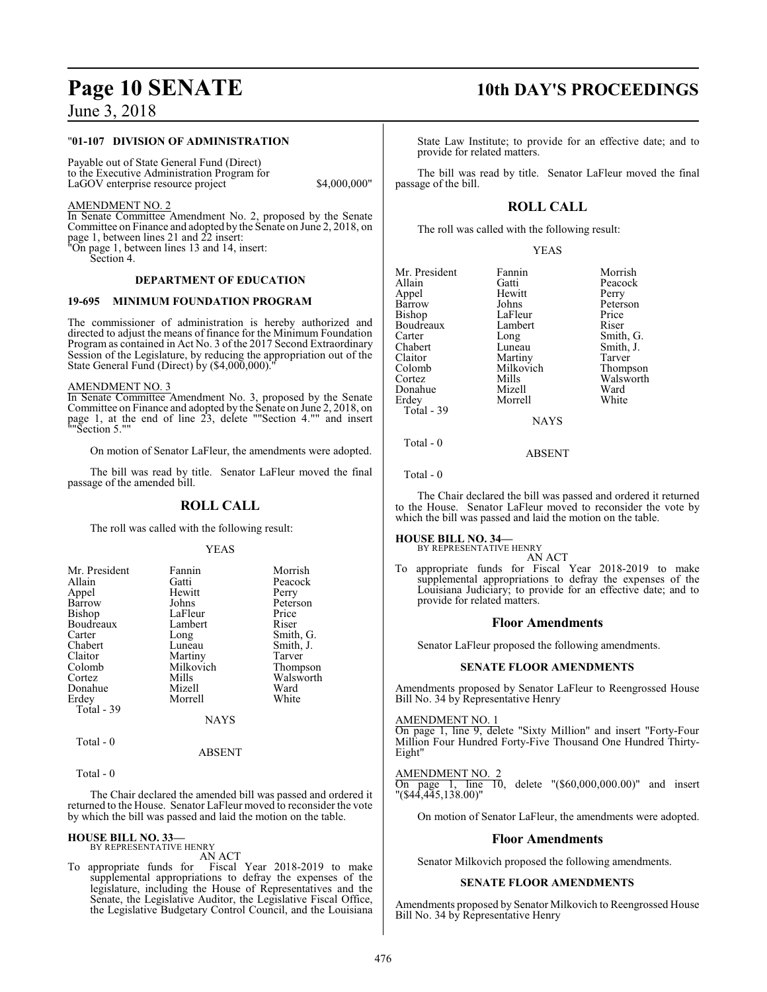#### "**01-107 DIVISION OF ADMINISTRATION**

Payable out of State General Fund (Direct) to the Executive Administration Program for LaGOV enterprise resource project \$4,000,000"

#### AMENDMENT NO. 2

In Senate Committee Amendment No. 2, proposed by the Senate Committee on Finance and adopted by the Senate on June 2, 2018, on page 1, between lines 21 and 22 insert: "On page 1, between lines 13 and 14, insert:

Section 4.

#### **DEPARTMENT OF EDUCATION**

#### **19-695 MINIMUM FOUNDATION PROGRAM**

The commissioner of administration is hereby authorized and directed to adjust the means of finance for the Minimum Foundation Program as contained in Act No. 3 of the 2017 Second Extraordinary Session of the Legislature, by reducing the appropriation out of the State General Fund (Direct) by (\$4,000,000)."

#### AMENDMENT NO. 3

In Senate Committee Amendment No. 3, proposed by the Senate Committee on Finance and adopted by the Senate on June 2, 2018, on page 1, at the end of line 23, delete ""Section 4."" and insert ""Section 5.""

On motion of Senator LaFleur, the amendments were adopted.

The bill was read by title. Senator LaFleur moved the final passage of the amended bill.

#### **ROLL CALL**

The roll was called with the following result:

#### YEAS

| Mr. President | Fannin      | Morrish   |
|---------------|-------------|-----------|
| Allain        | Gatti       | Peacock   |
| Appel         | Hewitt      | Perry     |
| Barrow        | Johns       | Peterson  |
| Bishop        | LaFleur     | Price     |
| Boudreaux     | Lambert     | Riser     |
| Carter        | Long        | Smith, G. |
| Chabert       | Luneau      | Smith, J. |
| Claitor       | Martiny     | Tarver    |
| Colomb        | Milkovich   | Thompson  |
| Cortez        | Mills       | Walsworth |
| Donahue       | Mizell      | Ward      |
| Erdey         | Morrell     | White     |
| Total - 39    |             |           |
|               | <b>NAYS</b> |           |

Total - 0

#### ABSENT

Total - 0

The Chair declared the amended bill was passed and ordered it returned to the House. Senator LaFleur moved to reconsider the vote by which the bill was passed and laid the motion on the table.

**HOUSE BILL NO. 33—** BY REPRESENTATIVE HENRY

AN ACT

To appropriate funds for Fiscal Year 2018-2019 to make supplemental appropriations to defray the expenses of the legislature, including the House of Representatives and the Senate, the Legislative Auditor, the Legislative Fiscal Office, the Legislative Budgetary Control Council, and the Louisiana

## **Page 10 SENATE** 10th DAY'S PROCEEDINGS

State Law Institute; to provide for an effective date; and to provide for related matters.

The bill was read by title. Senator LaFleur moved the final passage of the bill.

### **ROLL CALL**

The roll was called with the following result:

YEAS

| Mr. President | Fannin      | Morrish   |
|---------------|-------------|-----------|
| Allain        | Gatti       | Peacock   |
| Appel         | Hewitt      | Perry     |
| <b>Barrow</b> | Johns       | Peterson  |
| Bishop        | LaFleur     | Price     |
| Boudreaux     | Lambert     | Riser     |
| Carter        | Long        | Smith, G. |
| Chabert       | Luneau      | Smith, J. |
| Claitor       | Martiny     | Tarver    |
| Colomb        | Milkovich   | Thompson  |
| Cortez        | Mills       | Walsworth |
| Donahue       | Mizell      | Ward      |
| Erdev         | Morrell     | White     |
| Total - 39    |             |           |
|               | <b>NAYS</b> |           |
| Total - 0     |             |           |

Total - 0

The Chair declared the bill was passed and ordered it returned to the House. Senator LaFleur moved to reconsider the vote by which the bill was passed and laid the motion on the table.

ABSENT

#### **HOUSE BILL NO. 34—**

BY REPRESENTATIVE HENRY

AN ACT To appropriate funds for Fiscal Year 2018-2019 to make supplemental appropriations to defray the expenses of the Louisiana Judiciary; to provide for an effective date; and to provide for related matters.

#### **Floor Amendments**

Senator LaFleur proposed the following amendments.

#### **SENATE FLOOR AMENDMENTS**

Amendments proposed by Senator LaFleur to Reengrossed House Bill No. 34 by Representative Henry

#### AMENDMENT NO. 1

On page 1, line 9, delete "Sixty Million" and insert "Forty-Four Million Four Hundred Forty-Five Thousand One Hundred Thirty-Eight"

#### AMENDMENT NO. 2

On page 1, line 10, delete "(\$60,000,000.00)" and insert "(\$44,445,138.00)"

On motion of Senator LaFleur, the amendments were adopted.

#### **Floor Amendments**

Senator Milkovich proposed the following amendments.

#### **SENATE FLOOR AMENDMENTS**

Amendments proposed by Senator Milkovich to Reengrossed House Bill No. 34 by Representative Henry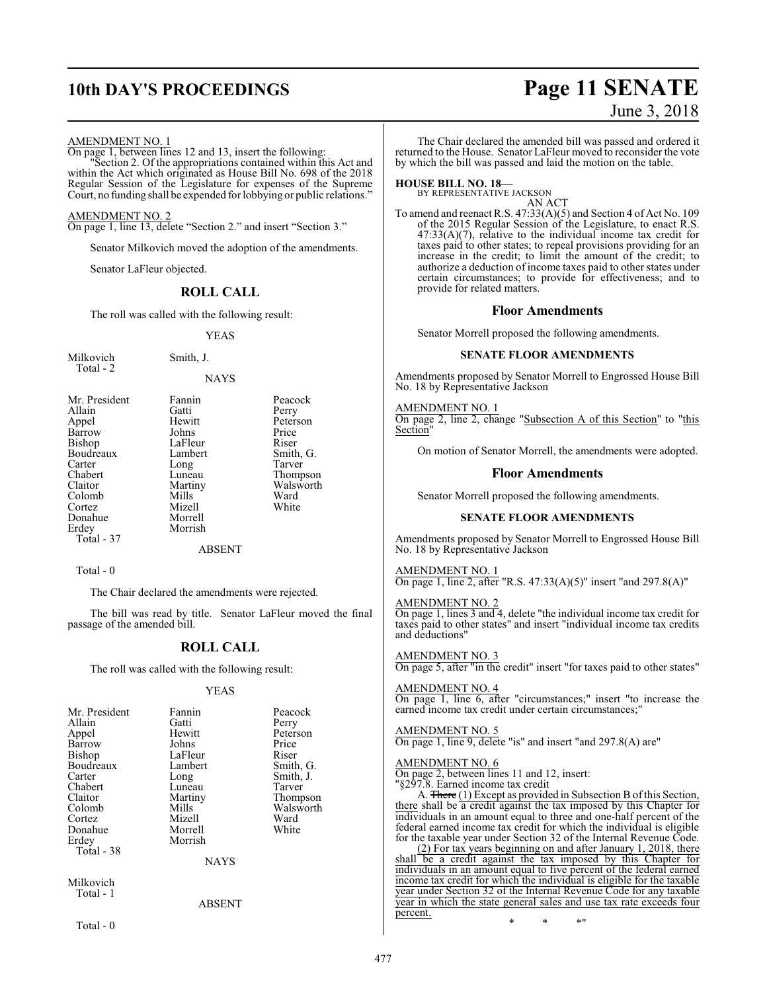## **10th DAY'S PROCEEDINGS Page 11 SENATE**

# June 3, 2018

AMENDMENT NO. 1

On page 1, between lines 12 and 13, insert the following: "Section 2. Of the appropriations contained within this Act and within the Act which originated as House Bill No. 698 of the 2018 Regular Session of the Legislature for expenses of the Supreme Court, no funding shall be expended for lobbying or public relations."

#### AMENDMENT NO. 2

On page 1, line 13, delete "Section 2." and insert "Section 3."

Senator Milkovich moved the adoption of the amendments.

Senator LaFleur objected.

#### **ROLL CALL**

The roll was called with the following result:

#### YEAS

| Milkovich | Smith, J. |
|-----------|-----------|
| Total - 2 |           |

**NAYS** 

| Mr. President | Fannin  | Peacock   |
|---------------|---------|-----------|
| Allain        | Gatti   | Perry     |
| Appel         | Hewitt  | Peterson  |
| Barrow        | Johns   | Price     |
| Bishop        | LaFleur | Riser     |
| Boudreaux     | Lambert | Smith, G. |
| Carter        | Long    | Tarver    |
| Chabert       | Luneau  | Thompson  |
| Claitor       | Martiny | Walsworth |
| Colomb        | Mills   | Ward      |
| Cortez        | Mizell  | White     |
| Donahue       | Morrell |           |
| Erdey         | Morrish |           |
| Total - 37    |         |           |
|               | ABSENT  |           |

Total - 0

The Chair declared the amendments were rejected.

The bill was read by title. Senator LaFleur moved the final passage of the amended bill.

#### **ROLL CALL**

The roll was called with the following result:

#### YEAS

| Mr. President | Fannin  | Peacock   |
|---------------|---------|-----------|
| Allain        | Gatti   | Perry     |
| Appel         | Hewitt  | Peterson  |
| Barrow        | Johns   | Price     |
| Bishop        | LaFleur | Riser     |
| Boudreaux     | Lambert | Smith, G. |
| Carter        | Long    | Smith, J. |
| Chabert       | Luneau  | Tarver    |
| Claitor       | Martiny | Thompson  |
| Colomb        | Mills   | Walsworth |
| Cortez        | Mizell  | Ward      |
| Donahue       | Morrell | White     |
| Erdey         | Morrish |           |
| Total - 38    |         |           |
| NAYS          |         |           |

Milkovich Total - 1

ABSENT

Total - 0

The Chair declared the amended bill was passed and ordered it returned to the House. Senator LaFleur moved to reconsider the vote by which the bill was passed and laid the motion on the table.

## **HOUSE BILL NO. 18—** BY REPRESENTATIVE JACKSON

AN ACT

To amend and reenact R.S. 47:33(A)(5) and Section 4 of Act No. 109 of the 2015 Regular Session of the Legislature, to enact R.S.  $47:33(A)(7)$ , relative to the individual income tax credit for taxes paid to other states; to repeal provisions providing for an increase in the credit; to limit the amount of the credit; to authorize a deduction of income taxes paid to other states under certain circumstances; to provide for effectiveness; and to provide for related matters.

#### **Floor Amendments**

Senator Morrell proposed the following amendments.

#### **SENATE FLOOR AMENDMENTS**

Amendments proposed by Senator Morrell to Engrossed House Bill No. 18 by Representative Jackson

AMENDMENT NO. 1 On page 2, line 2, change "Subsection A of this Section" to "this Section"

On motion of Senator Morrell, the amendments were adopted.

#### **Floor Amendments**

Senator Morrell proposed the following amendments.

#### **SENATE FLOOR AMENDMENTS**

Amendments proposed by Senator Morrell to Engrossed House Bill No. 18 by Representative Jackson

#### AMENDMENT NO. 1

On page 1, line 2, after "R.S. 47:33(A)(5)" insert "and 297.8(A)"

#### AMENDMENT NO. 2

On page 1, lines 3 and 4, delete "the individual income tax credit for taxes paid to other states" and insert "individual income tax credits and deductions"

AMENDMENT NO. 3 On page 5, after "in the credit" insert "for taxes paid to other states"

#### AMENDMENT NO. 4

On page 1, line 6, after "circumstances;" insert "to increase the earned income tax credit under certain circumstances;

#### AMENDMENT NO. 5

On page 1, line 9, delete "is" and insert "and 297.8(A) are"

#### AMENDMENT NO. 6

On page 2, between lines 11 and 12, insert:

"§297.8. Earned income tax credit

A. There (1) Except as provided in Subsection B of this Section, there shall be a credit against the tax imposed by this Chapter for individuals in an amount equal to three and one-half percent of the federal earned income tax credit for which the individual is eligible for the taxable year under Section 32 of the Internal Revenue Code.

(2) For tax years beginning on and after January 1, 2018, there shall be a credit against the tax imposed by this Chapter for individuals in an amount equal to five percent of the federal earned income tax credit for which the individual is eligible for the taxable year under Section 32 of the Internal Revenue Code for any taxable year in which the state general sales and use tax rate exceeds four percent.

\* \* \*"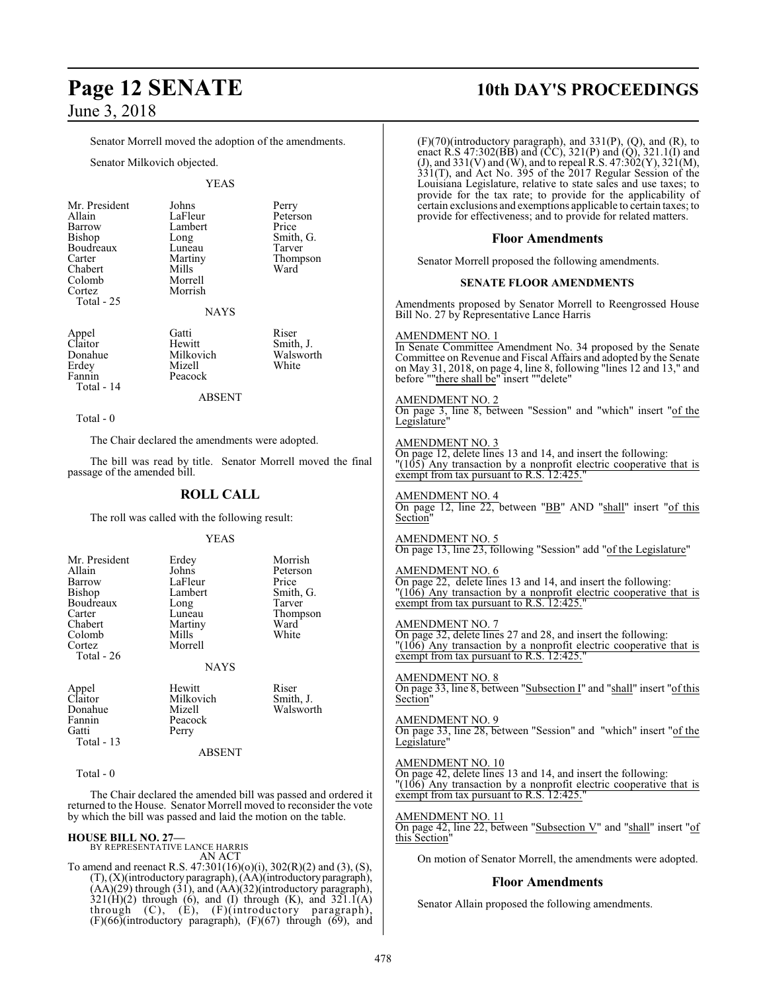Colomb<br>Cortez

Colomb<br>Cortez

**Page 12 SENATE 10th DAY'S PROCEEDINGS** П Senator Morrell moved the adoption of the amendments. Senator Milkovich objected. YEAS Mr. President Johns Perry<br>Allain LaFleur Peters Allain LaFleur Peterson<br>Barrow Lambert Price Barrow Lambert<br>Bishop Long Long Smith, G.<br>Luneau Tarver Boudreaux Luneau<br>Carter Martiny Martiny Thompson<br>Mills Ward Chabert Mills<br>Colomb Morrell Morrish Total - 25 NAYS Appel Gatti Riser<br>Claitor Hewitt Smith AMENDMENT NO. 1 Claitor Hewitt Smith, J.<br>Donahue Milkovich Walsworth Donahue Milkovich Walsworth<br>1992 - Mizell White<br>1994 - White Erdey Mizell<br>Fannin Peacoc Peacock Total - 14 ABSENT AMENDMENT NO. 2 Total - 0 Legislature" The Chair declared the amendments were adopted. AMENDMENT NO. 3 The bill was read by title. Senator Morrell moved the final passage of the amended bill. **ROLL CALL** AMENDMENT NO. 4 The roll was called with the following result: Section" YEAS AMENDMENT NO. 5 Mr. President Erdey Morrish Allain Johns Peterson<br>Barrow LaFleur Price AMENDMENT NO. 6 Barrow LaFleur<br>Bishop Lambert Lambert Smith, G.<br>
Long Tarver Boudreaux Long<br>Carter Luneau Carter Luneau Thompson<br>
Chabert Martiny Ward Martiny Ward<br>
Mills White AMENDMENT NO. 7 Morrell Total - 26 NAYS AMENDMENT NO. 8 Appel Hewitt Riser<br>Claitor Milkovich Smith, J. Claitor Milkovich<br>Donahue Mizell Section" Donahue Mizell Walsworth Fannin Peacock<br>Gatti Perry AMENDMENT NO. 9 Perry Total - 13 Legislature" ABSENT AMENDMENT NO. 10 Total - 0 The Chair declared the amended bill was passed and ordered it returned to the House. Senator Morrell moved to reconsider the vote by which the bill was passed and laid the motion on the table. AMENDMENT NO. 11 **HOUSE BILL NO. 27—** BY REPRESENTATIVE LANCE HARRIS this Section" AN ACT To amend and reenact R.S. 47:301(16)(o)(i), 302(R)(2) and (3), (S), (T), (X)(introductory paragraph), (AA)(introductoryparagraph), **Floor Amendments**  $(AA)(29)$  through  $(31)$ , and  $(AA)(32)$ (introductory paragraph),  $321(\text{H})(2)$  through (6), and (I) through (K), and  $321.1(A)$ through (C), (E), (F)(introductory paragraph), (F)(66)(introductory paragraph), (F)(67) through (69), and

| (F)(70)(introductory paragraph), and 331(P), (Q), and (R), to<br>enact R.S 47:302(BB) and $(\hat{CC})$ , 321(P) and $(\hat{Q})$ , 321.1(I) and<br>(J), and 331(V) and (W), and to repeal R.S. 47:302(Y), 321(M),<br>$331(T)$ , and Act No. 395 of the 2017 Regular Session of the<br>Louisiana Legislature, relative to state sales and use taxes; to<br>provide for the tax rate; to provide for the applicability of<br>certain exclusions and exemptions applicable to certain taxes; to<br>provide for effectiveness; and to provide for related matters. |
|---------------------------------------------------------------------------------------------------------------------------------------------------------------------------------------------------------------------------------------------------------------------------------------------------------------------------------------------------------------------------------------------------------------------------------------------------------------------------------------------------------------------------------------------------------------|
| <b>Floor Amendments</b>                                                                                                                                                                                                                                                                                                                                                                                                                                                                                                                                       |
| Senator Morrell proposed the following amendments.                                                                                                                                                                                                                                                                                                                                                                                                                                                                                                            |
| <b>SENATE FLOOR AMENDMENTS</b>                                                                                                                                                                                                                                                                                                                                                                                                                                                                                                                                |
| Amendments proposed by Senator Morrell to Reengrossed House<br>Bill No. 27 by Representative Lance Harris                                                                                                                                                                                                                                                                                                                                                                                                                                                     |
| AMENDMENT NO. 1<br>In Senate Committee Amendment No. 34 proposed by the Senate<br>Committee on Revenue and Fiscal Affairs and adopted by the Senate<br>on May 31, 2018, on page 4, line 8, following "lines 12 and 13," and<br>before ""there shall be" insert ""delete"                                                                                                                                                                                                                                                                                      |
| <u>AMENDMENT NO. 2</u><br>On page 3, line 8, between "Session" and "which" insert "of the<br>Legislature'                                                                                                                                                                                                                                                                                                                                                                                                                                                     |
| <b>AMENDMENT NO. 3</b><br>On page 12, delete lines 13 and 14, and insert the following:<br>$\frac{105}{105}$ Any transaction by a nonprofit electric cooperative that is<br>exempt from tax pursuant to R.S. 12:425."                                                                                                                                                                                                                                                                                                                                         |
| <b>AMENDMENT NO. 4</b><br>On page 12, line 22, between "BB" AND "shall" insert "of this<br>Section"                                                                                                                                                                                                                                                                                                                                                                                                                                                           |
| AMENDMENT NO. 5<br>On page 13, line 23, following "Session" add "of the Legislature"                                                                                                                                                                                                                                                                                                                                                                                                                                                                          |
| <b>AMENDMENT NO. 6</b><br>On page 22, delete lines 13 and 14, and insert the following:<br>$\frac{106}{6}$ Any transaction by a nonprofit electric cooperative that is<br>exempt from tax pursuant to R.S. 12:425.                                                                                                                                                                                                                                                                                                                                            |
| AMENDMENT NO. 7<br>On page 32, delete lines 27 and 28, and insert the following:<br>"(106) Any transaction by a nonprofit electric cooperative that is<br>exempt from tax pursuant to R.S. 12:425."                                                                                                                                                                                                                                                                                                                                                           |
| AMENDMENT NO. 8<br>On page 33, line 8, between "Subsection I" and "shall" insert "of this<br>Section                                                                                                                                                                                                                                                                                                                                                                                                                                                          |
| AMENDMENT NO. 9<br>On page 33, line 28, between "Session" and "which" insert "of the<br>Legislature"                                                                                                                                                                                                                                                                                                                                                                                                                                                          |
| <b>AMENDMENT NO. 10</b><br>On page 42, delete lines 13 and 14, and insert the following:<br>" $(106)$ Any transaction by a nonprofit electric cooperative that is exempt from tax pursuant to R.S. 12:425."                                                                                                                                                                                                                                                                                                                                                   |
| <b>AMENDMENT NO. 11</b><br>On page 42, line 22, between "Subsection V" and "shall" insert "of<br>this Section'                                                                                                                                                                                                                                                                                                                                                                                                                                                |
| On motion of Senator Morrell, the amendments were adopted.                                                                                                                                                                                                                                                                                                                                                                                                                                                                                                    |
|                                                                                                                                                                                                                                                                                                                                                                                                                                                                                                                                                               |

Senator Allain proposed the following amendments.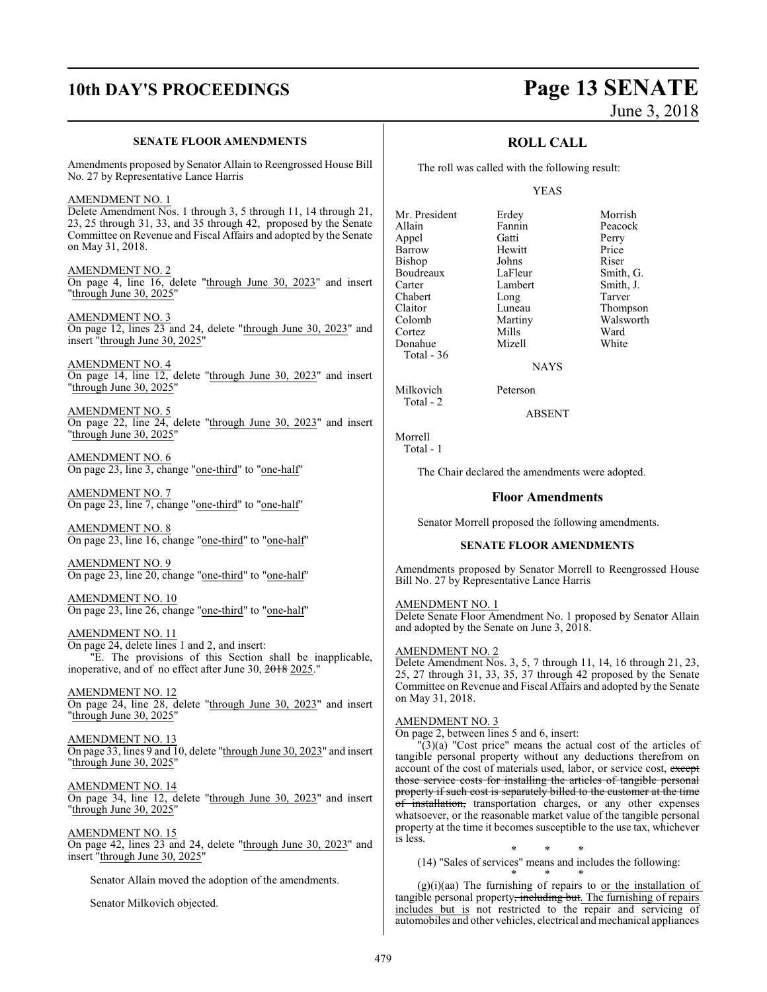## **10th DAY'S PROCEEDINGS Page 13 SENATE**

# June 3, 2018

#### **SENATE FLOOR AMENDMENTS**

Amendments proposed by Senator Allain to Reengrossed House Bill No. 27 by Representative Lance Harris

AMENDMENT NO. 1 Delete Amendment Nos. 1 through 3, 5 through 11, 14 through 21, 23, 25 through 31, 33, and 35 through 42, proposed by the Senate Committee on Revenue and Fiscal Affairs and adopted by the Senate on May 31, 2018.

AMENDMENT NO. 2 On page 4, line 16, delete "through June 30, 2023" and insert "through June 30, 2025"

AMENDMENT NO. 3 On page 12, lines 23 and 24, delete "through June 30, 2023" and insert "through June 30, 2025"

AMENDMENT NO. 4 On page 14, line 12, delete "through June 30, 2023" and insert "through June 30, 2025"

AMENDMENT NO. 5 On page 22, line 24, delete "through June 30, 2023" and insert "through June 30, 2025"

AMENDMENT NO. 6 On page 23, line 3, change "one-third" to "one-half"

AMENDMENT NO. 7 On page 23, line 7, change "one-third" to "one-half"

AMENDMENT NO. 8 On page 23, line 16, change "one-third" to "one-half"

AMENDMENT NO. 9 On page 23, line 20, change "one-third" to "one-half"

AMENDMENT NO. 10 On page 23, line 26, change "one-third" to "one-half"

AMENDMENT NO. 11 On page 24, delete lines 1 and 2, and insert: "E. The provisions of this Section shall be inapplicable, inoperative, and of no effect after June 30, 2018 2025."

AMENDMENT NO. 12 On page 24, line 28, delete "through June 30, 2023" and insert "through June 30, 2025"

AMENDMENT NO. 13 On page 33, lines 9 and 10, delete "through June 30, 2023" and insert "through June 30, 2025"

AMENDMENT NO. 14 On page 34, line 12, delete "through June 30, 2023" and insert "through June 30, 2025"

AMENDMENT NO. 15 On page 42, lines 23 and 24, delete "through June 30, 2023" and insert "through June 30, 2025"

Senator Allain moved the adoption of the amendments.

Senator Milkovich objected.

### **ROLL CALL**

The roll was called with the following result:

#### YEAS

Mr. President Erdey Morrish<br>Allain Fannin Peacock Appel Gatti Perry Barrow Hewitt Price<br>Bishop Johns Riser Bishop Johns Riser<br>Boudreaux LaFleur Smith, G. Boudreaux LaFleur Smith, G.<br>Carter Lambert Smith, J. Chabert Long<br>Claitor Luneau Claitor Luneau Thompson Cortez Mills Ward<br>
Mills White<br>
Mizell White<br>
White Donahue Total - 36

Fannin Peaco<br> **Allance Catti**<br>
Perry Lambert Smith,<br>
Long Tarver Martiny Walsworth<br>
Mills Ward

**NAYS** 

Milkovich Peterson

ABSENT

Morrell

Total - 2

Total - 1

The Chair declared the amendments were adopted.

#### **Floor Amendments**

Senator Morrell proposed the following amendments.

#### **SENATE FLOOR AMENDMENTS**

Amendments proposed by Senator Morrell to Reengrossed House Bill No. 27 by Representative Lance Harris

#### AMENDMENT NO. 1

Delete Senate Floor Amendment No. 1 proposed by Senator Allain and adopted by the Senate on June 3, 2018.

#### AMENDMENT NO. 2

Delete Amendment Nos. 3, 5, 7 through 11, 14, 16 through 21, 23, 25, 27 through 31, 33, 35, 37 through 42 proposed by the Senate Committee on Revenue and Fiscal Affairs and adopted by the Senate on May 31, 2018.

#### AMENDMENT NO. 3

On page 2, between lines 5 and 6, insert:

 $\Gamma(3)(a)$  "Cost price" means the actual cost of the articles of tangible personal property without any deductions therefrom on account of the cost of materials used, labor, or service cost, except those service costs for installing the articles of tangible personal property if such cost is separately billed to the customer at the time of installation, transportation charges, or any other expenses whatsoever, or the reasonable market value of the tangible personal property at the time it becomes susceptible to the use tax, whichever is less.

\* \* \* (14) "Sales of services" means and includes the following:

\* \* \*  $(g)(i)(aa)$  The furnishing of repairs to or the installation of tangible personal property<del>, including but</del>. The furnishing of repairs includes but is not restricted to the repair and servicing of automobiles and other vehicles, electrical and mechanical appliances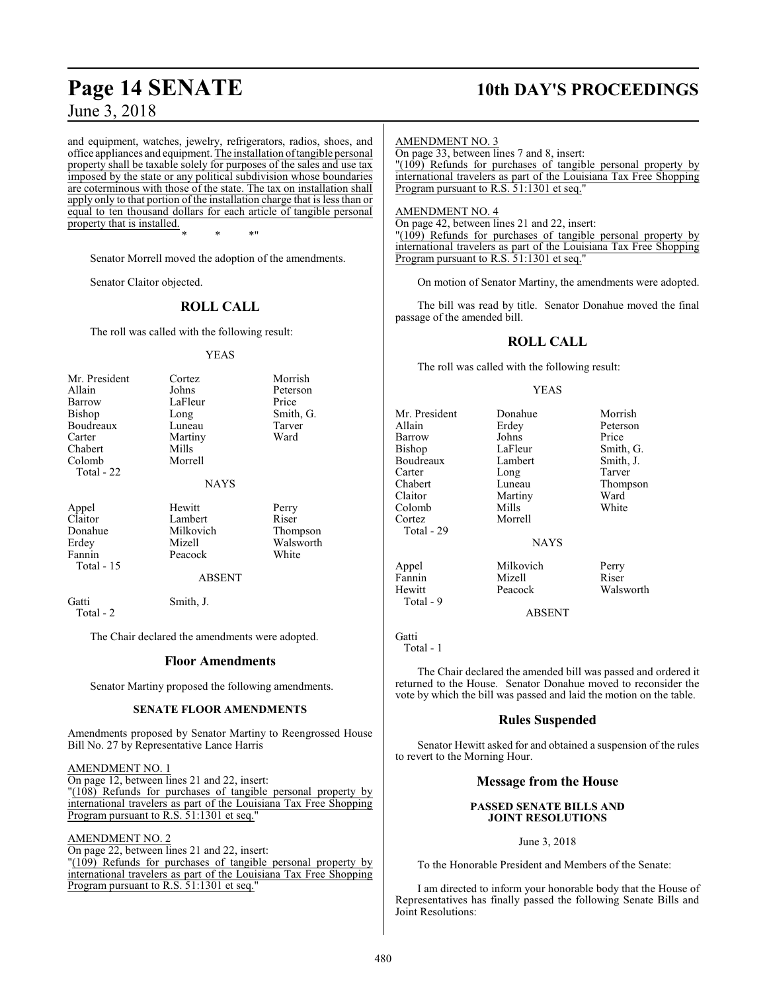and equipment, watches, jewelry, refrigerators, radios, shoes, and office appliances and equipment. The installation oftangible personal property shall be taxable solely for purposes of the sales and use tax imposed by the state or any political subdivision whose boundaries are coterminous with those of the state. The tax on installation shall apply only to that portion of the installation charge that is less than or equal to ten thousand dollars for each article of tangible personal property that is installed.

\* \* \*"

Senator Morrell moved the adoption of the amendments.

Senator Claitor objected.

#### **ROLL CALL**

The roll was called with the following result:

#### YEAS

| Mr. President<br>Allain<br>Barrow<br><b>Bishop</b><br>Boudreaux<br>Carter<br>Chabert<br>Colomb<br>Total $-22$ | Cortez<br>Johns<br>LaFleur<br>Long<br>Luneau<br>Martiny<br>Mills<br>Morrell<br><b>NAYS</b> | Morrish<br>Peterson<br>Price<br>Smith, G.<br>Tarver<br>Ward |
|---------------------------------------------------------------------------------------------------------------|--------------------------------------------------------------------------------------------|-------------------------------------------------------------|
| Appel<br>Claitor<br>Donahue<br>Erdey<br>Fannin<br>Total - 15                                                  | Hewitt<br>Lambert<br>Milkovich<br>Mizell<br>Peacock<br><b>ABSENT</b>                       | Perry<br>Riser<br>Thompson<br>Walsworth<br>White            |
| Gatti                                                                                                         | Smith, J.                                                                                  |                                                             |

Total - 2

The Chair declared the amendments were adopted.

#### **Floor Amendments**

Senator Martiny proposed the following amendments.

#### **SENATE FLOOR AMENDMENTS**

Amendments proposed by Senator Martiny to Reengrossed House Bill No. 27 by Representative Lance Harris

#### AMENDMENT NO. 1

On page 12, between lines 21 and 22, insert: "(108) Refunds for purchases of tangible personal property by

international travelers as part of the Louisiana Tax Free Shopping Program pursuant to R.S. 51:1301 et seq."

#### AMENDMENT NO. 2

On page 22, between lines 21 and 22, insert: "(109) Refunds for purchases of tangible personal property by international travelers as part of the Louisiana Tax Free Shopping Program pursuant to R.S. 51:1301 et seq."

## **Page 14 SENATE 10th DAY'S PROCEEDINGS**

#### AMENDMENT NO. 3

On page 33, between lines 7 and 8, insert:

"(109) Refunds for purchases of tangible personal property by international travelers as part of the Louisiana Tax Free Shopping Program pursuant to R.S. 51:1301 et seq."

#### AMENDMENT NO. 4

On page 42, between lines 21 and 22, insert: "(109) Refunds for purchases of tangible personal property by international travelers as part of the Louisiana Tax Free Shopping Program pursuant to R.S. 51:1301 et seq."

On motion of Senator Martiny, the amendments were adopted.

The bill was read by title. Senator Donahue moved the final passage of the amended bill.

#### **ROLL CALL**

The roll was called with the following result:

#### YEAS

Erdey Peterson<br>Johns Price

Mr. President Donahue Morrish<br>Allain Erdey Peterson Barrow Johns<br>Bishop LaFleur Boudreaux Lamb<br>Carter Long Carter Long Tarver<br>Chabert Luneau Thomn Chabert Luneau Thompson Claitor Martiny Ward<br>Colomb Mills White Colomb Mills White Cortez Morrell Total - 29

LaFleur Smith, G.<br>Lambert Smith, J.

Fannin Mizell<br>Hewitt Peacock

**NAYS** 

Appel Milkovich Perry<br>Fannin Mizell Riser

Walsworth

#### ABSENT

Gatti

Total - 1

Total - 9

The Chair declared the amended bill was passed and ordered it returned to the House. Senator Donahue moved to reconsider the vote by which the bill was passed and laid the motion on the table.

#### **Rules Suspended**

Senator Hewitt asked for and obtained a suspension of the rules to revert to the Morning Hour.

#### **Message from the House**

#### **PASSED SENATE BILLS AND JOINT RESOLUTIONS**

#### June 3, 2018

To the Honorable President and Members of the Senate:

I am directed to inform your honorable body that the House of Representatives has finally passed the following Senate Bills and Joint Resolutions: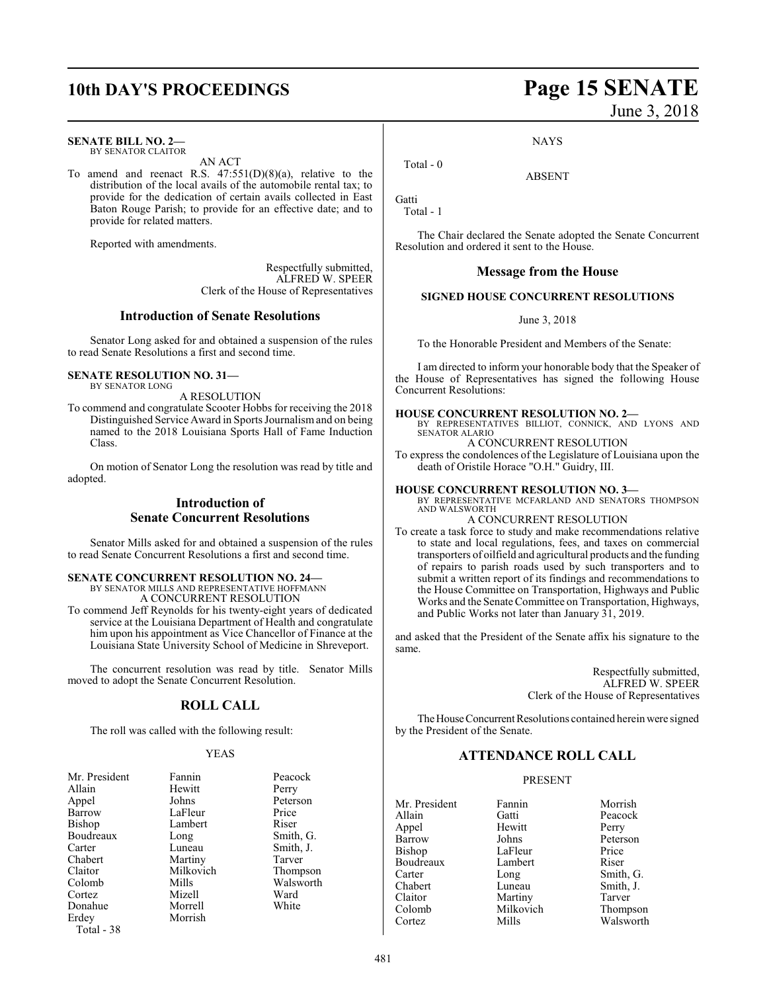#### **SENATE BILL NO. 2—**

BY SENATOR CLAITOR

To amend and reenact R.S.  $47:551(D)(8)(a)$ , relative to the distribution of the local avails of the automobile rental tax; to provide for the dedication of certain avails collected in East Baton Rouge Parish; to provide for an effective date; and to provide for related matters.

AN ACT

Reported with amendments.

Respectfully submitted, ALFRED W. SPEER Clerk of the House of Representatives

#### **Introduction of Senate Resolutions**

Senator Long asked for and obtained a suspension of the rules to read Senate Resolutions a first and second time.

#### **SENATE RESOLUTION NO. 31—** BY SENATOR LONG

A RESOLUTION

To commend and congratulate Scooter Hobbs for receiving the 2018 Distinguished Service Award in Sports Journalismand on being named to the 2018 Louisiana Sports Hall of Fame Induction Class.

On motion of Senator Long the resolution was read by title and adopted.

#### **Introduction of Senate Concurrent Resolutions**

Senator Mills asked for and obtained a suspension of the rules to read Senate Concurrent Resolutions a first and second time.

#### **SENATE CONCURRENT RESOLUTION NO. 24—**

BY SENATOR MILLS AND REPRESENTATIVE HOFFMANN A CONCURRENT RESOLUTION

To commend Jeff Reynolds for his twenty-eight years of dedicated service at the Louisiana Department of Health and congratulate him upon his appointment as Vice Chancellor of Finance at the Louisiana State University School of Medicine in Shreveport.

The concurrent resolution was read by title. Senator Mills moved to adopt the Senate Concurrent Resolution.

#### **ROLL CALL**

The roll was called with the following result:

#### YEAS

| Mr. President | Fannin    | Peacock   |
|---------------|-----------|-----------|
| Allain        | Hewitt    | Perry     |
| Appel         | Johns     | Peterson  |
| <b>Barrow</b> | LaFleur   | Price     |
| Bishop        | Lambert   | Riser     |
| Boudreaux     | Long      | Smith, G. |
| Carter        | Luneau    | Smith, J. |
| Chabert       | Martiny   | Tarver    |
| Claitor       | Milkovich | Thompson  |
| Colomb        | Mills     | Walsworth |
| Cortez        | Mizell    | Ward      |
| Donahue       | Morrell   | White     |
| Erdey         | Morrish   |           |
| Total - 38    |           |           |

**10th DAY'S PROCEEDINGS Page 15 SENATE** June 3, 2018

**NAYS** 

ABSENT

Total - 0

Gatti Total - 1

The Chair declared the Senate adopted the Senate Concurrent Resolution and ordered it sent to the House.

#### **Message from the House**

#### **SIGNED HOUSE CONCURRENT RESOLUTIONS**

#### June 3, 2018

To the Honorable President and Members of the Senate:

I am directed to inform your honorable body that the Speaker of the House of Representatives has signed the following House Concurrent Resolutions:

#### **HOUSE CONCURRENT RESOLUTION NO. 2—**

BY REPRESENTATIVES BILLIOT, CONNICK, AND LYONS AND SENATOR ALARIO

A CONCURRENT RESOLUTION

To express the condolences of the Legislature of Louisiana upon the death of Oristile Horace "O.H." Guidry, III.

#### **HOUSE CONCURRENT RESOLUTION NO. 3—**

BY REPRESENTATIVE MCFARLAND AND SENATORS THOMPSON AND WALSWORTH

#### A CONCURRENT RESOLUTION

To create a task force to study and make recommendations relative to state and local regulations, fees, and taxes on commercial transporters of oilfield and agricultural products and the funding of repairs to parish roads used by such transporters and to submit a written report of its findings and recommendations to the House Committee on Transportation, Highways and Public Works and the Senate Committee on Transportation, Highways, and Public Works not later than January 31, 2019.

and asked that the President of the Senate affix his signature to the same.

> Respectfully submitted, ALFRED W. SPEER Clerk of the House of Representatives

The House Concurrent Resolutions contained herein were signed by the President of the Senate.

#### **ATTENDANCE ROLL CALL**

#### PRESENT

Mr. President Fannin Morrish Allain Gatti Peacock Appel Hewit<br>Barrow Johns Bishop LaFleur Price<br>Boudreaux Lambert Riser Boudreaux Lambert Riser<br>
Carter Long Smith Carter Long Smith, G. Claitor Martiny Tarver<br>
Colomb Milkovich Thompson Colomb Milkovich<br>
Cortez Mills

Peterson Smith, J. Walsworth